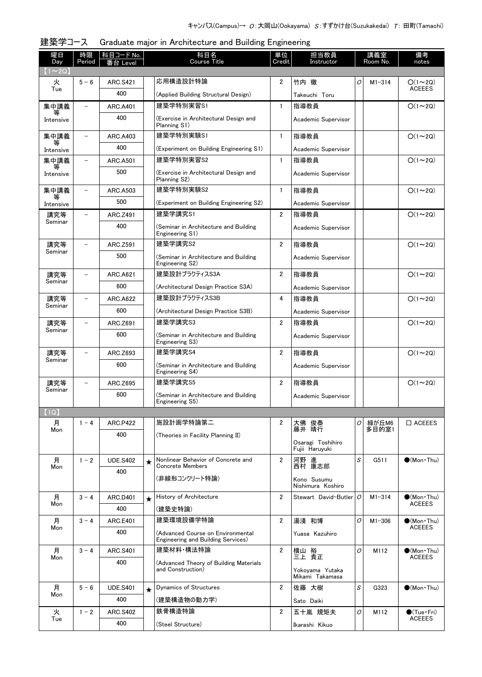| 曜日<br>Day     | 時限<br>Period             | 科目コード No.<br>番台 Level |         | 科目名<br><b>Course Title</b>                                              | 単位<br>Credit   | 担当教員<br>Instructor                  |                | 講義室<br>Room No. | 備考<br>notes                            |
|---------------|--------------------------|-----------------------|---------|-------------------------------------------------------------------------|----------------|-------------------------------------|----------------|-----------------|----------------------------------------|
| $(1 \sim 2Q)$ |                          |                       |         |                                                                         |                |                                     |                |                 |                                        |
| 火<br>Tue      | $5 - 6$                  | <b>ARC.S421</b>       |         | 応用構造設計特論                                                                | $\overline{2}$ | 竹内 徹                                | O              | $M1 - 314$      | $O(1\sim 2Q)$<br><b>ACEEES</b>         |
|               |                          | 400                   |         | (Applied Building Structural Design)                                    |                | Takeuchi Toru                       |                |                 |                                        |
| 集中講義          |                          | <b>ARC.A401</b>       |         | 建築学特別実習S1                                                               | $\mathbf{1}$   | 指導教員                                |                |                 | $O(1\sim 2Q)$                          |
| Intensive     |                          | 400                   |         | (Exercise in Architectural Design and<br>Planning S1)                   |                | Academic Supervisor                 |                |                 |                                        |
| 集中講義<br>等     | $\overline{\phantom{0}}$ | ARC.A403              |         | 建築学特別実験S1                                                               | $\mathbf{1}$   | 指導教員                                |                |                 | $O(1\sim 2Q)$                          |
| Intensive     |                          | 400                   |         | (Experiment on Building Engineering S1)                                 |                | Academic Supervisor                 |                |                 |                                        |
| 集中講義<br>等     | $\overline{\phantom{0}}$ | <b>ARC.A501</b>       |         | 建築学特別実習S2                                                               | $\mathbf{1}$   | 指導教員                                |                |                 | $O(1\sim 2Q)$                          |
| Intensive     |                          | 500                   |         | (Exercise in Architectural Design and<br>Planning S2)                   |                | Academic Supervisor                 |                |                 |                                        |
| 集中講義<br>等     | $\overline{\phantom{a}}$ | ARC.A503              |         | 建築学特別実験S2                                                               | $\mathbf{1}$   | 指導教員                                |                |                 | $O(1\sim 2Q)$                          |
| Intensive     |                          | 500                   |         | (Experiment on Building Engineering S2)                                 |                | Academic Supervisor                 |                |                 |                                        |
| 講究等           |                          | ARC.Z491              |         | 建築学講究S1                                                                 | $\overline{2}$ | 指導教員                                |                |                 | $O(1\sim 2Q)$                          |
| Seminar       |                          | 400                   |         | (Seminar in Architecture and Building<br>Engineering S1)                |                | Academic Supervisor                 |                |                 |                                        |
| 講究等           |                          | ARC.Z591              |         | 建築学講究S2                                                                 | $\overline{2}$ | 指導教員                                |                |                 | $O(1\sim 20)$                          |
| Seminar       |                          | 500                   |         | (Seminar in Architecture and Building<br>Engineering S2)                |                | Academic Supervisor                 |                |                 |                                        |
| 講究等           |                          | <b>ARC.A621</b>       |         | 建築設計プラクティスS3A                                                           | $\overline{2}$ | 指導教員                                |                |                 | $O(1\sim 2Q)$                          |
| Seminar       |                          | 600                   |         | (Architectural Design Practice S3A)                                     |                | Academic Supervisor                 |                |                 |                                        |
| 講究等           |                          | ARC.A622              |         | 建築設計プラクティスS3B                                                           | 4              | 指導教員                                |                |                 | $O(1\sim 2Q)$                          |
| Seminar       |                          | 600                   |         | (Architectural Design Practice S3B)                                     |                | Academic Supervisor                 |                |                 |                                        |
| 講究等           |                          | ARC.Z691              |         | 建築学講究S3                                                                 | $\overline{2}$ | 指導教員                                |                |                 | $O(1\sim 2Q)$                          |
| Seminar       |                          | 600                   |         | (Seminar in Architecture and Building<br>Engineering S3)                |                | Academic Supervisor                 |                |                 |                                        |
| 講究等           |                          | ARC.Z693              |         | 建築学講究S4                                                                 | $\overline{2}$ | 指導教員                                |                |                 | $O(1\sim 2Q)$                          |
| Seminar       |                          | 600                   |         | (Seminar in Architecture and Building<br>Engineering S4)                |                | Academic Supervisor                 |                |                 |                                        |
| 講究等           | $\overline{\phantom{0}}$ | ARC.Z695              |         | 建築学講究S5                                                                 | $\overline{2}$ | 指導教員                                |                |                 | $O(1\sim 2Q)$                          |
| Seminar       |                          | 600                   |         | (Seminar in Architecture and Building                                   |                | Academic Supervisor                 |                |                 |                                        |
| (1Q)          |                          |                       |         | Engineering S5)                                                         |                |                                     |                |                 |                                        |
| 月             | $1 - 4$                  | <b>ARC.P422</b>       |         | 施設計画学特論第二                                                               | 2              | 大佛 俊泰                               | 0              | 緑が丘M6           | $\Box$ ACEEES                          |
| Mon           |                          | 400                   |         | (Theories in Facility Planning II)                                      |                | 藤井 晴行                               |                | 多目的室1           |                                        |
|               |                          |                       |         |                                                                         |                | Osaragi Toshihiro<br>Fuiii Haruvuki |                |                 |                                        |
| 月             | $1 - 2$                  | <b>UDE.S402</b>       | $\star$ | Nonlinear Behavior of Concrete and                                      | $\overline{2}$ | 河野 進                                | S              | G511            | $\bigcirc$ (Mon Thu)                   |
| Mon           |                          | 400                   |         | Concrete Members                                                        |                | 西村 康志郎                              |                |                 |                                        |
|               |                          |                       |         | (非線形コンクリート特論)                                                           |                | Kono Susumu<br>Nishimura Koshiro    |                |                 |                                        |
| 月<br>Mon      | $3 - 4$                  | <b>ARC.D401</b>       | $\star$ | History of Architecture                                                 | $\overline{2}$ | Stewart David-Butler                | 0              | $M1 - 314$      | $\bigcirc$ (Mon Thu)<br><b>ACEEES</b>  |
|               |                          | 400                   |         | (建築史特論)                                                                 |                |                                     |                |                 |                                        |
| 月<br>Mon      | $3 - 4$                  | ARC.E401              |         | 建築環境設備学特論                                                               | $\overline{2}$ | 湯淺 和博                               | O              | $M1 - 306$      | $\bullet$ (Mon Thu)<br><b>ACEEES</b>   |
|               |                          | 400                   |         | (Advanced Course on Environmental<br>Engineering and Building Services) |                | Yuasa Kazuhiro                      |                |                 |                                        |
| 月<br>Mon      | $3 - 4$                  | <b>ARC.S401</b>       |         | 建築材料・構法特論                                                               | $\overline{2}$ | 横山 裕<br>三上 貴正                       | $\overline{O}$ | M112            | $\bullet$ (Mon · Thu)<br><b>ACEEES</b> |
|               |                          | 400                   |         | (Advanced Theory of Building Materials<br>and Construction)             |                | Yokoyama Yutaka<br>Mikami Takamasa  |                |                 |                                        |
| 月             | $5 - 6$                  | <b>UDE.S401</b>       | $\star$ | Dynamics of Structures                                                  | $\overline{2}$ | 佐藤 大樹                               | S              | G323            | $\bigcirc$ (Mon Thu)                   |
| Mon           |                          | 400                   |         | (建築構造物の動力学)                                                             |                | Sato Daiki                          |                |                 |                                        |
| 火             | $1 - 2$                  | <b>ARC.S402</b>       |         | 鉄骨構造特論                                                                  | $\overline{2}$ | 五十嵐 規矩夫                             | 0              | M112            | $\bullet$ (Tue•Fri)                    |
| Tue           |                          | 400                   |         | (Steel Structure)                                                       |                | Ikarashi Kikuo                      |                |                 | <b>ACEEES</b>                          |
|               |                          |                       |         |                                                                         |                |                                     |                |                 |                                        |

| 建築学コース Graduate major in Architecture and Building Engineering |
|----------------------------------------------------------------|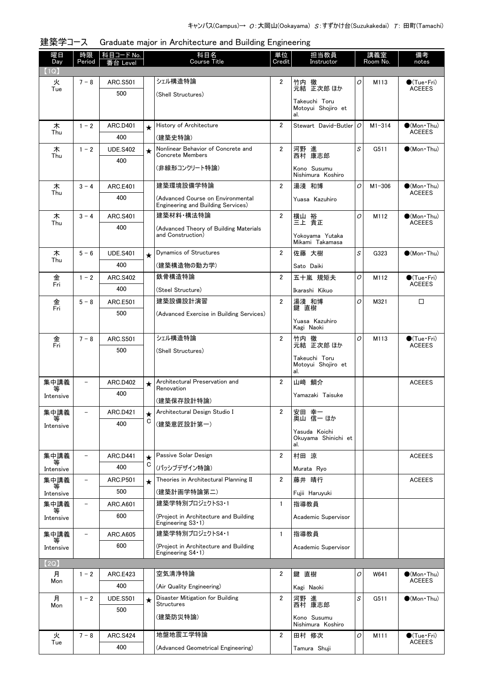| 曜日<br>Day      | 時限<br>Period             | 科目コード No.<br>番台 Level  |              | 科目名<br>Course Title                                                 | 単位<br>Credit   | 担当教員<br>Instructor                         |   | 講義室<br>Room No. | 備考<br>notes                            |
|----------------|--------------------------|------------------------|--------------|---------------------------------------------------------------------|----------------|--------------------------------------------|---|-----------------|----------------------------------------|
| (1Q)           |                          |                        |              |                                                                     |                |                                            |   |                 |                                        |
| 火              | $7 - 8$                  | <b>ARC.S501</b>        |              | シェル構造特論                                                             | $\overline{2}$ | 竹内 徹                                       | 0 | M113            | $\bullet$ (Tue•Fri)                    |
| Tue            |                          | 500                    |              | (Shell Structures)                                                  |                | 元結 正次郎 ほか                                  |   |                 | <b>ACEEES</b>                          |
|                |                          |                        |              |                                                                     |                | Takeuchi Toru<br>Motoyui Shojiro et<br>al. |   |                 |                                        |
| 木              | $1 - 2$                  | <b>ARC.D401</b>        | $\star$      | History of Architecture                                             | 2              | Stewart David-Butler   O                   |   | $M1 - 314$      | $\bullet$ (Mon•Thu)                    |
| Thu            |                          | 400                    |              | (建築史特論)                                                             |                |                                            |   |                 | <b>ACEEES</b>                          |
| 木<br>Thu       | $1 - 2$                  | <b>UDE.S402</b>        | $\star$      | Nonlinear Behavior of Concrete and<br><b>Concrete Members</b>       | $\overline{2}$ | 河野 進<br>西村 康志郎                             | S | G511            | $\bullet$ (Mon Thu)                    |
|                |                          | 400                    |              | (非線形コンクリート特論)                                                       |                |                                            |   |                 |                                        |
|                |                          |                        |              |                                                                     |                | Kono Susumu<br>Nishimura Koshiro           |   |                 |                                        |
| 木              | $3 - 4$                  | <b>ARC.E401</b>        |              | 建築環境設備学特論                                                           | $\overline{2}$ | 湯淺 和博                                      | 0 | $M1 - 306$      | $\bullet$ (Mon · Thu)                  |
| Thu            |                          | 400                    |              | (Advanced Course on Environmental                                   |                | Yuasa Kazuhiro                             |   |                 | <b>ACEEES</b>                          |
|                | $3 - 4$                  | <b>ARC.S401</b>        |              | Engineering and Building Services)<br>建築材料・構法特論                     | $\overline{2}$ |                                            | O | M112            | $\bullet$ (Mon Thu)                    |
| 木<br>Thu       |                          | 400                    |              |                                                                     |                | 横山 裕<br>三上 貴正                              |   |                 | <b>ACEEES</b>                          |
|                |                          |                        |              | (Advanced Theory of Building Materials<br>and Construction)         |                | Yokoyama Yutaka                            |   |                 |                                        |
|                |                          |                        |              |                                                                     |                | Mikami Takamasa                            |   |                 |                                        |
| 木<br>Thu       | $5 - 6$                  | <b>UDE.S401</b>        | $\star$      | <b>Dynamics of Structures</b>                                       | $\overline{2}$ | 佐藤 大樹                                      | S | G323            | $\bullet$ (Mon Thu)                    |
|                |                          | 400                    |              | (建築構造物の動力学)                                                         |                | Sato Daiki                                 |   |                 |                                        |
| 金<br>Fri       | $1 - 2$                  | <b>ARC.S402</b>        |              | 鉄骨構造特論                                                              | $\overline{2}$ | 五十嵐 規矩夫                                    | 0 | M112            | $\bullet$ (Tue•Fri)<br><b>ACEEES</b>   |
|                |                          | 400                    |              | (Steel Structure)                                                   |                | Ikarashi Kikuo                             |   |                 |                                        |
| 金<br>Fri       | $5 - 8$                  | <b>ARC.E501</b>        |              | 建築設備設計演習                                                            | $\overline{2}$ | 湯淺 和博<br>鍵直樹                               | O | M321            | □                                      |
|                |                          | 500                    |              | (Advanced Exercise in Building Services)                            |                | Yuasa Kazuhiro                             |   |                 |                                        |
|                |                          |                        |              |                                                                     |                | Kagi Naoki                                 |   |                 |                                        |
| 金<br>Fri       | $7 - 8$                  | <b>ARC.S501</b>        |              | シェル構造特論                                                             | $\overline{2}$ | 竹内 徹<br>元結 正次郎 ほか                          | O | M113            | $\bullet$ (Tue · Fri)<br><b>ACEEES</b> |
|                |                          | 500                    |              | (Shell Structures)                                                  |                | Takeuchi Toru                              |   |                 |                                        |
|                |                          |                        |              |                                                                     |                | Motoyui Shojiro et                         |   |                 |                                        |
| 集中講義           |                          | <b>ARC.D402</b>        |              | Architectural Preservation and                                      | $\overline{2}$ | al.<br>山崎 鯛介                               |   |                 | <b>ACEEES</b>                          |
|                |                          | 400                    | $\star$      | Renovation                                                          |                |                                            |   |                 |                                        |
| Intensive      |                          |                        |              | (建築保存設計特論)                                                          |                | Yamazaki Taisuke                           |   |                 |                                        |
| 集中講義           |                          | ARC.D421               | ★            | Architectural Design Studio I                                       | 2              | 安田 幸一<br>奥山 信一 ほか                          |   |                 |                                        |
| Intensive      |                          | 400                    | С            | (建築意匠設計第一)                                                          |                |                                            |   |                 |                                        |
|                |                          |                        |              |                                                                     |                | Yasuda Koichi<br>Okuvama Shinichi et       |   |                 |                                        |
|                |                          |                        |              | Passive Solar Design                                                | $\overline{2}$ | al.<br>村田 涼                                |   |                 |                                        |
| 集中講義<br>等      |                          | ARC.D441<br>400        | $\star$<br>С | (パッシブデザイン特論)                                                        |                |                                            |   |                 | <b>ACEEES</b>                          |
| Intensive      |                          |                        |              |                                                                     |                | Murata Ryo                                 |   |                 |                                        |
| 集中講義<br>₩      | $\overline{\phantom{0}}$ | <b>ARC.P501</b><br>500 | $\star$      | Theories in Architectural Planning II<br>(建築計画学特論第二)                | $\overline{2}$ | 藤井 晴行                                      |   |                 | <b>ACEEES</b>                          |
| Intensive      | $\overline{\phantom{0}}$ |                        |              | 建築学特別プロジェクトS3·1                                                     | 1              | Fujii Haruyuki                             |   |                 |                                        |
| 集中講義<br>等      |                          | <b>ARC.A601</b><br>600 |              |                                                                     |                | 指導教員                                       |   |                 |                                        |
| Intensive      |                          |                        |              | (Project in Architecture and Building<br>Engineering $S3 \cdot 1$ ) |                | Academic Supervisor                        |   |                 |                                        |
| 集中講義           | $\qquad \qquad -$        | <b>ARC.A605</b>        |              | 建築学特別プロジェクトS4・1                                                     | 1              | 指導教員                                       |   |                 |                                        |
| 等<br>Intensive |                          | 600                    |              | (Project in Architecture and Building                               |                | Academic Supervisor                        |   |                 |                                        |
| (2Q)           |                          |                        |              | Engineering $S4 \cdot 1$ )                                          |                |                                            |   |                 |                                        |
| 月              | $1 - 2$                  | ARC.E423               |              | 空気清浄特論                                                              | 2              | 鍵 直樹                                       | 0 | W641            | $(Mon\cdot Thu)$                       |
| Mon            |                          | 400                    |              | (Air Quality Engineering)                                           |                | Kagi Naoki                                 |   |                 | <b>ACEEES</b>                          |
| 月              | $1 - 2$                  | <b>UDE.S501</b>        | $\star$      | Disaster Mitigation for Building                                    | 2              | 河野 進                                       | S | G511            | $\bullet$ (Mon Thu)                    |
| Mon            |                          | 500                    |              | <b>Structures</b>                                                   |                | 西村 康志郎                                     |   |                 |                                        |
|                |                          |                        |              | (建築防災特論)                                                            |                | Kono Susumu<br>Nishimura Koshiro           |   |                 |                                        |
| 火              | $7 - 8$                  | <b>ARC.S424</b>        |              | 地盤地震工学特論                                                            | 2              | 田村 修次                                      | 0 | M111            | $\bigcirc$ (Tue · Fri)                 |
| Tue            |                          | 400                    |              | (Advanced Geometrical Engineering)                                  |                |                                            |   |                 | <b>ACEEES</b>                          |
|                |                          |                        |              |                                                                     |                | Tamura Shuji                               |   |                 |                                        |

|  |  | 建築学コース Graduate major in Architecture and Building Engineering |
|--|--|----------------------------------------------------------------|
|--|--|----------------------------------------------------------------|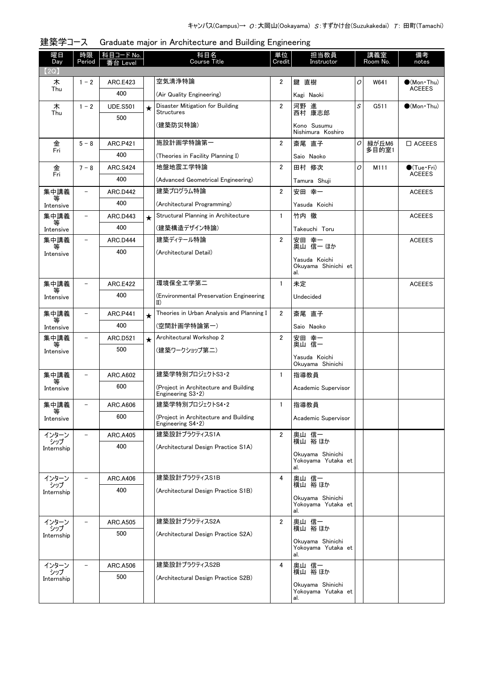| 曜日<br>Day         | 時限<br>Period             | 科目コード No.<br>番台 Level |         | 科目名<br><b>Course Title</b>                                          | 単位<br>Credit   | 担当教員<br>Instructor                            |   | 講義室<br>Room No. | 備考<br>notes                       |
|-------------------|--------------------------|-----------------------|---------|---------------------------------------------------------------------|----------------|-----------------------------------------------|---|-----------------|-----------------------------------|
| (2Q)              |                          |                       |         |                                                                     |                |                                               |   |                 |                                   |
| 木<br>Thu          | $1 - 2$                  | ARC.E423              |         | 空気清浄特論                                                              | 2              | 鍵 直樹                                          | 0 | W641            | $(Mon\cdot Thu)$<br><b>ACEEES</b> |
|                   |                          | 400                   |         | (Air Quality Engineering)                                           |                | Kagi Naoki                                    |   |                 |                                   |
| 木<br>Thu          | $1 - 2$                  | <b>UDE.S501</b>       | $\star$ | Disaster Mitigation for Building<br>Structures                      | $\overline{2}$ | 河野 進<br>西村 康志郎                                | S | G511            | $\bigcirc$ (Mon Thu)              |
|                   |                          | 500                   |         | (建築防災特論)                                                            |                | Kono Susumu<br>Nishimura Koshiro              |   |                 |                                   |
| 金                 | $5 - 8$                  | <b>ARC.P421</b>       |         | 施設計画学特論第一                                                           | $\overline{2}$ | 斎尾 直子                                         | O | 緑が丘M6           | $\Box$ ACEEES                     |
| Fri               |                          | 400                   |         | (Theories in Facility Planning I)                                   |                | Saio Naoko                                    |   | 多目的室1           |                                   |
| 金                 | $7 - 8$                  | <b>ARC.S424</b>       |         | 地盤地震工学特論                                                            | $\overline{2}$ | 田村 修次                                         | O | M111            | $\bullet$ (Tue•Fri)               |
| Fri               |                          | 400                   |         | (Advanced Geometrical Engineering)                                  |                | Tamura Shuji                                  |   |                 | <b>ACEEES</b>                     |
| 集中講義              |                          | ARC.D442              |         | 建築プログラム特論                                                           | $\overline{2}$ | 安田 幸一                                         |   |                 | <b>ACEEES</b>                     |
| Intensive         |                          | 400                   |         | (Architectural Programming)                                         |                | Yasuda Koichi                                 |   |                 |                                   |
| 集中講義              |                          | ARC.D443              | $\star$ | Structural Planning in Architecture                                 | $\mathbf{1}$   | 竹内 徹                                          |   |                 | <b>ACEEES</b>                     |
| 等<br>Intensive    |                          | 400                   |         | (建築構造デザイン特論)                                                        |                | Takeuchi Toru                                 |   |                 |                                   |
| 集中講義              |                          | <b>ARC.D444</b>       |         | 建築ディテール特論                                                           | $\overline{2}$ | 安田 幸一<br>奥山 信一 ほか                             |   |                 | <b>ACEEES</b>                     |
| Intensive         |                          | 400                   |         | (Architectural Detail)                                              |                | Yasuda Koichi                                 |   |                 |                                   |
|                   |                          |                       |         |                                                                     |                | Okuyama Shinichi et<br>al.                    |   |                 |                                   |
| 集中講義              |                          | <b>ARC.E422</b>       |         | 環境保全工学第二                                                            | $\mathbf{1}$   | 未定                                            |   |                 | <b>ACEEES</b>                     |
| Intensive         |                          | 400                   |         | (Environmental Preservation Engineering<br>II)                      |                | Undecided                                     |   |                 |                                   |
| 集中講義<br>等         |                          | <b>ARC.P441</b>       | $\star$ | Theories in Urban Analysis and Planning I                           | $\overline{2}$ | 斎尾 直子                                         |   |                 |                                   |
| Intensive         |                          | 400                   |         | (空間計画学特論第一)                                                         |                | Saio Naoko                                    |   |                 |                                   |
| 集中講義<br>等         |                          | ARC.D521              | $\star$ | Architectural Workshop 2                                            | $\overline{2}$ | 安田 幸一<br>奥山 信一                                |   |                 |                                   |
| Intensive         |                          | 500                   |         | (建築ワークショップ第二)                                                       |                | Yasuda Koichi                                 |   |                 |                                   |
|                   |                          |                       |         |                                                                     |                | Okuyama Shinichi                              |   |                 |                                   |
| 集中講義              |                          | <b>ARC.A602</b>       |         | 建築学特別プロジェクトS3・2                                                     | $\mathbf{1}$   | 指導教員                                          |   |                 |                                   |
| Intensive         |                          | 600                   |         | (Project in Architecture and Building<br>Engineering $S3 \cdot 2$ ) |                | Academic Supervisor                           |   |                 |                                   |
| 集中講義<br>等         | $\overline{\phantom{0}}$ | ARC.A606              |         | 建築学特別プロジェクトS4・2                                                     | $\mathbf{1}$   | 指導教員                                          |   |                 |                                   |
| Intensive         |                          | 600                   |         | (Project in Architecture and Building<br>Engineering $S4 - 2$ )     |                | Academic Supervisor                           |   |                 |                                   |
| インターン<br>シップ      |                          | <b>ARC.A405</b>       |         | 建築設計プラクティスS1A                                                       | $\overline{2}$ | 奥山 信一<br>横山 裕ほか                               |   |                 |                                   |
| Internship        |                          | 400                   |         | (Architectural Design Practice S1A)                                 |                | Okuyama Shinichi<br>Yokoyama Yutaka et<br>al. |   |                 |                                   |
| インターン             |                          | ARC.A406              |         | 建築設計プラクティスS1B                                                       | 4              | 奥山 信一                                         |   |                 |                                   |
| シップ<br>Internship |                          | 400                   |         | (Architectural Design Practice S1B)                                 |                | 横山 裕 ほか                                       |   |                 |                                   |
|                   |                          |                       |         |                                                                     |                | Okuyama Shinichi<br>Yokovama Yutaka et<br>al. |   |                 |                                   |
| インターン             |                          | <b>ARC.A505</b>       |         | 建築設計プラクティスS2A                                                       | $\overline{2}$ | 奥山 信一<br>横山 裕ほか                               |   |                 |                                   |
| シップ<br>Internship |                          | 500                   |         | (Architectural Design Practice S2A)                                 |                |                                               |   |                 |                                   |
|                   |                          |                       |         |                                                                     |                | Okuyama Shinichi<br>Yokoyama Yutaka et<br>al. |   |                 |                                   |
| インターン             |                          | <b>ARC.A506</b>       |         | 建築設計プラクティスS2B                                                       | 4              | 奥山 信一<br>横山 裕ほか                               |   |                 |                                   |
| シップ<br>Internship |                          | 500                   |         | (Architectural Design Practice S2B)                                 |                |                                               |   |                 |                                   |
|                   |                          |                       |         |                                                                     |                | Okuyama Shinichi<br>Yokoyama Yutaka et<br>al. |   |                 |                                   |

|  | 建築学コース |  |  | Graduate major in Architecture and Building Engineering |  |  |  |
|--|--------|--|--|---------------------------------------------------------|--|--|--|
|--|--------|--|--|---------------------------------------------------------|--|--|--|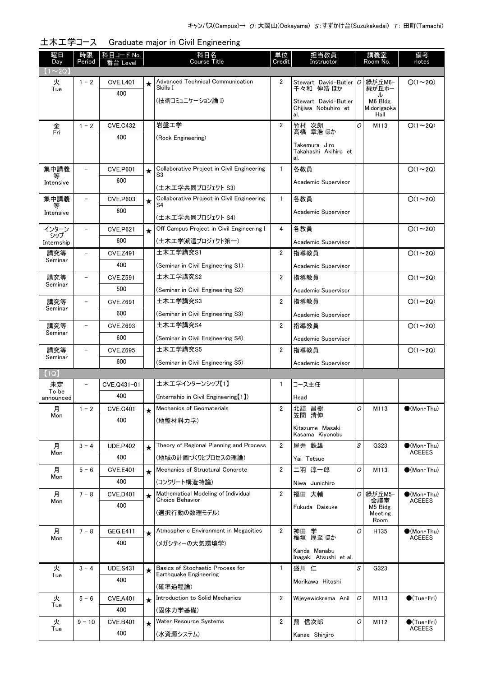| 曜日<br>Day         | 時限<br>Period             | <u>科目コード No.</u><br>番台 Level |            | 科目名<br><b>Course Title</b>                                 | 単位<br>Credit   | 担当教員<br>Instructor                          |   | 講義室<br>Room No.         | 備考<br>notes                          |
|-------------------|--------------------------|------------------------------|------------|------------------------------------------------------------|----------------|---------------------------------------------|---|-------------------------|--------------------------------------|
| $1 \sim 2Q$       |                          |                              |            |                                                            |                |                                             |   |                         |                                      |
| 火                 | $1 - 2$                  | <b>CVE.L401</b>              | $\star$    | <b>Advanced Technical Communication</b>                    | 2              | Stewart David-Butler                        | 0 | 緑が丘M6-                  | $O(1\sim 2Q)$                        |
| Tue               |                          | 400                          |            | Skills I                                                   |                | 千々和 伸浩 ほか                                   |   | 緑が丘ホー<br>ル              |                                      |
|                   |                          |                              |            | (技術コミュニケーション論 Ⅰ)                                           |                | Stewart David-Butler<br>Chiiiwa Nobuhiro et |   | M6 Bldg.<br>Midorigaoka |                                      |
|                   |                          |                              |            |                                                            |                | al.                                         |   | Hall                    |                                      |
| 金<br>Fri          | $1 - 2$                  | <b>CVE.C432</b>              |            | 岩盤工学                                                       | $\overline{2}$ | 竹村 次朗<br>髙橋 章浩 ほか                           | 0 | M113                    | $O(1\sim 2Q)$                        |
|                   |                          | 400                          |            | (Rock Engineering)                                         |                | Takemura Jiro                               |   |                         |                                      |
|                   |                          |                              |            |                                                            |                | Takahashi Akihiro et<br>al.                 |   |                         |                                      |
| 集中講義              | $\overline{\phantom{0}}$ | <b>CVE.P601</b>              | $\star$    | Collaborative Project in Civil Engineering                 | $\mathbf{1}$   | 各教員                                         |   |                         | $O(1\sim 2Q)$                        |
| 等<br>Intensive    |                          | 600                          |            | S3                                                         |                | Academic Supervisor                         |   |                         |                                      |
|                   |                          |                              |            | (土木工学共同プロジェクト S3)                                          |                |                                             |   |                         |                                      |
| 集中講義<br>等         |                          | <b>CVE.P603</b><br>600       | $\star$    | Collaborative Project in Civil Engineering<br>S4           | $\mathbf{1}$   | 各教員                                         |   |                         | $O(1\sim 2Q)$                        |
| Intensive         |                          |                              |            | (土木工学共同プロジェクト S4)                                          |                | Academic Supervisor                         |   |                         |                                      |
| インターン             |                          | <b>CVE.P621</b>              | $\star$    | Off Campus Project in Civil Engineering I                  | 4              | 各教員                                         |   |                         | $O(1\sim 2Q)$                        |
| シップ<br>Internship |                          | 600                          |            | (土木工学派遣プロジェクト第一)                                           |                | Academic Supervisor                         |   |                         |                                      |
| 講究等               |                          | <b>CVE.Z491</b>              |            | 土木工学講究S1                                                   | $\overline{2}$ | 指導教員                                        |   |                         | $O(1\sim 2Q)$                        |
| Seminar           |                          | 400                          |            | (Seminar in Civil Engineering S1)                          |                | Academic Supervisor                         |   |                         |                                      |
| 講究等               |                          | <b>CVE.Z591</b>              |            | 土木工学講究S2                                                   | 2              | 指導教員                                        |   |                         | $O(1\sim 2Q)$                        |
| Seminar           |                          | 500                          |            | (Seminar in Civil Engineering S2)                          |                | Academic Supervisor                         |   |                         |                                      |
| 講究等               |                          | <b>CVE.Z691</b>              |            | 土木工学講究S3                                                   | $\overline{2}$ | 指導教員                                        |   |                         | $O(1\sim 2Q)$                        |
| Seminar           |                          | 600                          |            | (Seminar in Civil Engineering S3)                          |                | Academic Supervisor                         |   |                         |                                      |
| 講究等               |                          | <b>CVE.Z693</b>              |            | 土木工学講究S4                                                   | $\overline{2}$ | 指導教員                                        |   |                         | $O(1\sim 2Q)$                        |
| Seminar           |                          | 600                          |            | (Seminar in Civil Engineering S4)                          |                | Academic Supervisor                         |   |                         |                                      |
| 講究等<br>Seminar    |                          | <b>CVE.Z695</b>              |            | 土木工学講究S5                                                   | $\overline{2}$ | 指導教員                                        |   |                         | $O(1\sim 2Q)$                        |
|                   |                          | 600                          |            | (Seminar in Civil Engineering S5)                          |                | Academic Supervisor                         |   |                         |                                      |
| (1Q)              |                          |                              |            |                                                            |                |                                             |   |                         |                                      |
| 未定<br>To be       |                          | CVE.Q431-01                  |            | 土木工学インターンシップ【1】                                            | 1              | コース主任                                       |   |                         |                                      |
| announced         |                          | 400                          |            | (Internship in Civil Engineering [1])                      |                | Head                                        |   |                         |                                      |
| 月<br>Mon          | $1 - 2$                  | <b>CVE.C401</b>              |            | Mechanics of Geomaterials                                  | 2              | 北詰 昌樹<br>笠間 清伸                              | O | M113                    | (Mon Thu)                            |
|                   |                          | 400                          |            | (地盤材料力学)                                                   |                | Kitazume Masaki                             |   |                         |                                      |
|                   |                          |                              |            |                                                            |                | Kasama Kiyonobu                             |   |                         |                                      |
| 月<br>Mon          | $3 - 4$                  | <b>UDE.P402</b>              | $\bigstar$ | Theory of Regional Planning and Process                    | $\overline{2}$ | 屋井 鉄雄                                       | S | G323                    | $\bullet$ (Mon Thu)<br><b>ACEEES</b> |
|                   |                          | 400                          |            | (地域の計画づくりとプロセスの理論)                                         |                | Yai Tetsuo                                  |   |                         |                                      |
| 月<br>Mon          | $5 - 6$                  | <b>CVE.E401</b>              | $\star$    | Mechanics of Structural Concrete                           | $\overline{2}$ | 二羽 淳一郎                                      | 0 | M113                    | $\bullet$ (Mon Thu)                  |
|                   |                          | 400                          |            | (コンクリート構造特論)                                               |                | Niwa Junichiro                              |   |                         |                                      |
| 月<br>Mon          | $7 - 8$                  | <b>CVE.D401</b>              | $\star$    | Mathematical Modeling of Individual<br>Choice Behavior     | $\overline{2}$ | 福田 大輔                                       | 0 | 緑が丘M5−<br>会議室           | $\bullet$ (Mon Thu)<br><b>ACEEES</b> |
|                   |                          | 400                          |            | (選択行動の数理モデル)                                               |                | Fukuda Daisuke                              |   | M5 Bidg.<br>Meeting     |                                      |
|                   |                          |                              |            |                                                            |                |                                             |   | Room                    |                                      |
| 月<br>Mon          | $7 - 8$                  | GEG.E411                     | $\bigstar$ | Atmospheric Environment in Megacities                      | $\overline{2}$ | 神田 学<br>稲垣 厚至 ほか                            | O | H <sub>135</sub>        | $\bullet$ (Mon Thu)<br><b>ACEEES</b> |
|                   |                          | 400                          |            | (メガシティーの大気環境学)                                             |                | Kanda Manabu                                |   |                         |                                      |
|                   |                          |                              |            |                                                            |                | Inagaki Atsushi et al.                      |   |                         |                                      |
| 火<br>Tue          | $3 - 4$                  | <b>UDE.S431</b>              | $\star$    | Basics of Stochastic Process for<br>Earthquake Engineering | $\mathbf{1}$   | 盛川 仁                                        | S | G323                    |                                      |
|                   |                          | 400                          |            | (確率過程論)                                                    |                | Morikawa Hitoshi                            |   |                         |                                      |
| 火                 | $5 - 6$                  | <b>CVE.A401</b>              | $\star$    | Introduction to Solid Mechanics                            | $\overline{2}$ | Wijeyewickrema Anil                         | 0 | M113                    | $\bigcirc$ (Tue · Fri)               |
| Tue               |                          | 400                          |            | (固体力学基礎)                                                   |                |                                             |   |                         |                                      |
| 火                 | $9 - 10$                 | <b>CVE.B401</b>              | $\star$    | Water Resource Systems                                     | 2              | 鼎 信次郎                                       | 0 | M112                    | $\bigcirc$ (Tue · Fri)               |
| Tue               |                          | 400                          |            | (水資源システム)                                                  |                | Kanae Shinjiro                              |   |                         | <b>ACEEES</b>                        |

土木工学コース Graduate major in Civil Engineering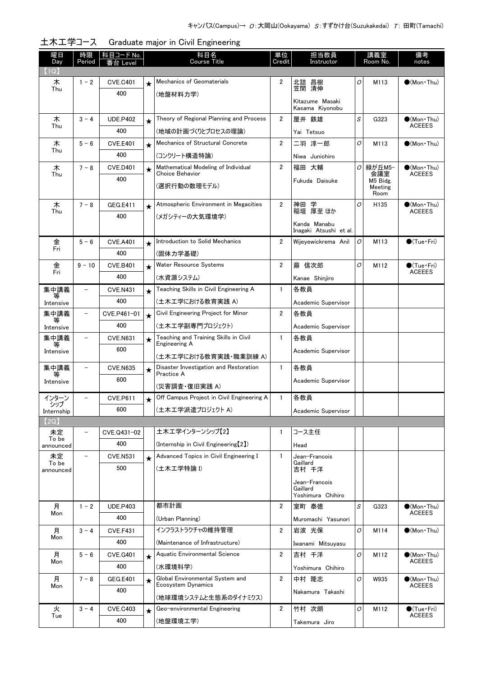| 曜日                 | 時限                       | <u>科目コード No.</u> |         | 科目名                                                        | 単位                      | 担当教員                                   |   | 講義室              | 備考                                           |
|--------------------|--------------------------|------------------|---------|------------------------------------------------------------|-------------------------|----------------------------------------|---|------------------|----------------------------------------------|
| Day<br>(1Q)        | Period                   | 番台 Level         |         | <b>Course Title</b>                                        | Credit                  | Instructor                             |   | Room No.         | notes                                        |
| 木                  | $1 - 2$                  | <b>CVE.C401</b>  | $\star$ | Mechanics of Geomaterials                                  | 2                       | 北詰 昌樹                                  | O | M113             | $\bigcirc$ (Mon Thu)                         |
| Thu                |                          | 400              |         | (地盤材料力学)                                                   |                         | 笠間 清伸                                  |   |                  |                                              |
|                    |                          |                  |         |                                                            |                         | Kitazume Masaki<br>Kasama Kiyonobu     |   |                  |                                              |
| 木                  | $3 - 4$                  | <b>UDE.P402</b>  | $\star$ | Theory of Regional Planning and Process                    | $\overline{2}$          | 屋井 鉄雄                                  | S | G323             | $\bullet$ (Mon Thu)                          |
| Thu                |                          | 400              |         | (地域の計画づくりとプロセスの理論)                                         |                         | Yai Tetsuo                             |   |                  | <b>ACEEES</b>                                |
| 木                  | $5 - 6$                  | <b>CVE.E401</b>  | $\star$ | Mechanics of Structural Concrete                           | $\overline{\mathbf{2}}$ | 二羽 淳一郎                                 | 0 | M113             | $(Mon\cdot Thu)$                             |
| Thu                |                          | 400              |         | (コンクリート構造特論)                                               |                         | Niwa Junichiro                         |   |                  |                                              |
| 木                  | $7 - 8$                  | <b>CVE.D401</b>  | $\star$ | Mathematical Modeling of Individual                        | $\overline{2}$          | 福田 大輔                                  | O | 緑が丘M5−           | $\bullet$ (Mon Thu)                          |
| Thu                |                          | 400              |         | Choice Behavior                                            |                         | Fukuda Daisuke                         |   | 会議室<br>M5 Bidg.  | <b>ACEEES</b>                                |
|                    |                          |                  |         | (選択行動の数理モデル)                                               |                         |                                        |   | Meeting<br>Room  |                                              |
| 木                  | $7 - 8$                  | <b>GEG.E411</b>  | $\star$ | Atmospheric Environment in Megacities                      | 2                       | 神田 学<br>稲垣 厚至 ほか                       | 0 | H <sub>135</sub> | $(Mon\cdot Thu)$                             |
| Thu                |                          | 400              |         | (メガシティーの大気環境学)                                             |                         |                                        |   |                  | <b>ACEEES</b>                                |
|                    |                          |                  |         |                                                            |                         | Kanda Manabu<br>Inagaki Atsushi et al. |   |                  |                                              |
| 金                  | $5 - 6$                  | <b>CVE.A401</b>  | $\star$ | Introduction to Solid Mechanics                            | $\overline{2}$          | Wijevewickrema Anil                    | 0 | M113             | $\bullet$ (Tue•Fri)                          |
| Fri                |                          | 400              |         | (固体力学基礎)                                                   |                         |                                        |   |                  |                                              |
| 金                  | $9 - 10$                 | <b>CVE.B401</b>  | $\star$ | Water Resource Systems                                     | $\overline{2}$          | 鼎 信次郎                                  | O | M112             | $\bullet$ (Tue•Fri)<br><b>ACEEES</b>         |
| Fri                |                          | 400              |         | (水資源システム)                                                  |                         | Kanae Shinjiro                         |   |                  |                                              |
| 集中講義<br>等          | $\overline{\phantom{0}}$ | <b>CVE.N431</b>  | $\star$ | Teaching Skills in Civil Engineering A                     | $\mathbf{1}$            | 各教員                                    |   |                  |                                              |
| Intensive          |                          | 400              |         | (土木工学における教育実践 A)                                           |                         | Academic Supervisor                    |   |                  |                                              |
| 集中講義<br>等          | $\overline{\phantom{0}}$ | CVE.P461-01      | $\star$ | Civil Engineering Project for Minor                        | $\overline{2}$          | 各教員                                    |   |                  |                                              |
| Intensive          |                          | 400              |         | (土木工学副専門プロジェクト)                                            |                         | Academic Supervisor                    |   |                  |                                              |
| 集中講義               |                          | <b>CVE.N631</b>  | $\star$ | Teaching and Training Skills in Civil<br>Engineering A     | $\mathbf{1}$            | 各教員                                    |   |                  |                                              |
| Intensive          |                          | 600              |         | (土木工学における教育実践・職業訓練 A)                                      |                         | Academic Supervisor                    |   |                  |                                              |
| 集中講義               |                          | <b>CVE.N635</b>  | $\star$ | Disaster Investigation and Restoration                     | $\mathbf{1}$            | 各教員                                    |   |                  |                                              |
| Intensive          |                          | 600              |         | Practice A                                                 |                         | Academic Supervisor                    |   |                  |                                              |
| インターン              |                          | <b>CVE.P611</b>  |         | (災害調査・復旧実践 A)<br>Off Campus Project in Civil Engineering A | 1                       | 各教員                                    |   |                  |                                              |
| シップ                |                          | 600              | $\star$ | (土木工学派遣プロジェクト A)                                           |                         |                                        |   |                  |                                              |
| Internship<br>(2Q) |                          |                  |         |                                                            |                         | Academic Supervisor                    |   |                  |                                              |
| 未定                 | -                        | CVE.Q431-02      |         | 土木工学インターンシップ【2】                                            | $\mathbf{1}$            | コース主任                                  |   |                  |                                              |
| To be<br>announced |                          | 400              |         | (Internship in Civil Engineering [2])                      |                         | Head                                   |   |                  |                                              |
| 未定                 | $\overline{\phantom{a}}$ | <b>CVE.N531</b>  | $\star$ | Advanced Topics in Civil Engineering I                     | 1                       | Jean-Francois                          |   |                  |                                              |
| To be<br>announced |                          | 500              |         | (土木工学特論 I)                                                 |                         | Gaillard<br>吉村 千洋                      |   |                  |                                              |
|                    |                          |                  |         |                                                            |                         | Jean-Francois                          |   |                  |                                              |
|                    |                          |                  |         |                                                            |                         | Gaillard<br>Yoshimura Chihiro          |   |                  |                                              |
| 月                  | $1 - 2$                  | <b>UDE.P403</b>  |         | 都市計画                                                       | $\overline{2}$          | 室町 泰徳                                  | S | G323             | $\bullet$ (Mon Thu)                          |
| Mon                |                          | 400              |         | (Urban Planning)                                           |                         | Muromachi Yasunori                     |   |                  | <b>ACEEES</b>                                |
| 月                  | $3 - 4$                  | <b>CVE.F431</b>  |         | インフラストラクチャの維持管理                                            | $\overline{2}$          | 岩波 光保                                  | O | M114             | $\bullet$ (Mon Thu)                          |
| Mon                |                          | 400              |         | (Maintenance of Infrastructure)                            |                         | Iwanami Mitsuyasu                      |   |                  |                                              |
| 月                  | $5 - 6$                  | <b>CVE.G401</b>  | $\star$ | Aquatic Environmental Science                              | $\overline{2}$          | 吉村 千洋                                  | 0 | M112             | $\bullet$ (Mon Thu)                          |
| Mon                |                          | 400              |         | (水環境科学)                                                    |                         | Yoshimura Chihiro                      |   |                  | <b>ACEEES</b>                                |
| 月                  | $7 - 8$                  | GEG.E401         | $\star$ | Global Environmental System and                            | $\overline{2}$          | 中村 隆志                                  | O | W935             | $\bullet$ (Mon Thu)                          |
| Mon                |                          | 400              |         | Ecosystem Dynamics                                         |                         | Nakamura Takashi                       |   |                  | <b>ACEEES</b>                                |
|                    |                          |                  |         | (地球環境システムと生態系のダイナミクス)                                      |                         |                                        |   |                  |                                              |
| 火<br>Tue           | $3 - 4$                  | <b>CVE.C403</b>  | $\star$ | Geo-environmental Engineering                              | $\overline{2}$          | 竹村 次朗                                  | 0 | M112             | $\bullet$ (Tue $\cdot$ Fri)<br><b>ACEEES</b> |
|                    |                          | 400              |         | (地盤環境工学)                                                   |                         | Takemura Jiro                          |   |                  |                                              |

| 土木工学コース Graduate major in Civil Engineering |  |  |  |
|---------------------------------------------|--|--|--|
|---------------------------------------------|--|--|--|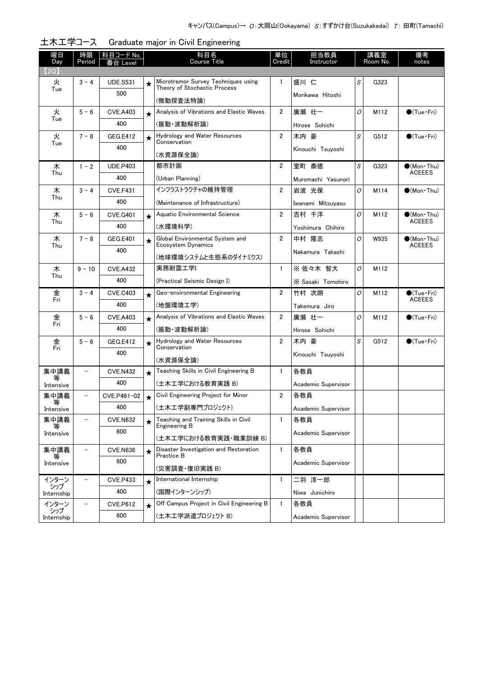| 曜日<br>Day    | 時限<br>Period             | 科目コード No.<br>番台 Level |            | 科目名<br>Course Title                                                 | 単位<br>担当教員<br>Credit<br>Instructor |                     | 講義室<br>Room No. |      | 備考<br>notes                          |
|--------------|--------------------------|-----------------------|------------|---------------------------------------------------------------------|------------------------------------|---------------------|-----------------|------|--------------------------------------|
| 【2Q】         |                          |                       |            |                                                                     |                                    |                     |                 |      |                                      |
| 火<br>Tue     | $3 - 4$                  | <b>UDE.S531</b>       | ★          | Microtremor Survey Techniques using<br>Theory of Stochastic Process | 1                                  | 盛川 仁                | S               | G323 |                                      |
|              |                          | 500                   |            | (微動探査法特論)                                                           |                                    | Morikawa Hitoshi    |                 |      |                                      |
| 火            | $5 - 6$                  | <b>CVE.A403</b>       | $\star$    | Analysis of Vibrations and Elastic Waves                            | $\overline{2}$                     | 廣瀬 壮一               | O               | M112 | $\bigcirc$ (Tue · Fri)               |
| Tue          |                          | 400                   |            | (振動・波動解析論)                                                          |                                    | Hirose Sohichi      |                 |      |                                      |
| 火            | $7 - 8$                  | GEG.E412              | ★          | <b>Hydrology and Water Resources</b>                                | $\overline{2}$                     | 木内 豪                | S               | G512 | $\bullet$ (Tue•Fri)                  |
| Tue          |                          | 400                   |            | Conservation                                                        |                                    | Kinouchi Tsuyoshi   |                 |      |                                      |
|              |                          |                       |            | (水資源保全論)                                                            |                                    |                     |                 |      |                                      |
| 木<br>Thu     | $1 - 2$                  | <b>UDE,P403</b>       |            | 都市計画                                                                | $\overline{2}$                     | 室町 泰徳               | S               | G323 | $(Mon\cdot Thu)$<br><b>ACEEES</b>    |
|              |                          | 400                   |            | (Urban Planning)                                                    |                                    | Muromachi Yasunori  |                 |      |                                      |
| 木<br>Thu     | $3 - 4$                  | <b>CVE.F431</b>       |            | インフラストラクチャの維持管理                                                     | 2                                  | 岩波 光保               | O               | M114 | $\bullet$ (Mon•Thu)                  |
|              |                          | 400                   |            | (Maintenance of Infrastructure)                                     |                                    | Iwanami Mitsuyasu   |                 |      |                                      |
| 木<br>Thu     | $5 - 6$                  | <b>CVE.G401</b>       | $\star$    | Aquatic Environmental Science                                       | $\overline{2}$                     | 吉村 千洋               | 0               | M112 | $\bullet$ (Mon•Thu)<br><b>ACEEES</b> |
|              |                          | 400                   |            | (水環境科学)                                                             |                                    | Yoshimura Chihiro   |                 |      |                                      |
| 木<br>Thu     | $7 - 8$                  | GEG.E401              | ★          | Global Environmental System and<br>Ecosystem Dynamics               | $\overline{2}$                     | 中村 隆志               | 0               | W935 | $\bullet$ (Mon•Thu)<br><b>ACEEES</b> |
|              |                          | 400                   |            | (地球環境システムと生態系のダイナミクス)                                               |                                    | Nakamura Takashi    |                 |      |                                      |
| 木            | $9 - 10$                 | <b>CVE.A432</b>       |            | 実務耐震工学I                                                             | 1                                  | ※佐々木 智大             | 0               | M112 |                                      |
| Thu          |                          | 400                   |            | (Practical Seismic Design I)                                        |                                    | X Sasaki Tomohiro   |                 |      |                                      |
| 金            | $3 - 4$                  | <b>CVE.C403</b>       | $\star$    | Geo-environmental Engineering                                       | $\overline{2}$                     | 竹村 次朗               | O               | M112 | $\bullet$ (Tue · Fri)                |
| Fri          |                          | 400                   |            | (地盤環境工学)                                                            |                                    | Takemura Jiro       |                 |      | <b>ACEEES</b>                        |
| 金            | $5 - 6$                  | <b>CVE.A403</b>       | $\star$    | Analysis of Vibrations and Elastic Waves                            | $\overline{\mathbf{2}}$            | 廣瀬 壮一               | O               | M112 | $\bullet$ (Tue•Fri)                  |
| Fri          |                          | 400                   |            | (振動・波動解析論)                                                          |                                    | Hirose Sohichi      |                 |      |                                      |
| 金            | $5 - 6$                  | GEG.E412              | $\bigstar$ | Hydrology and Water Resources                                       | $\overline{2}$                     | 木内 豪                | S               | G512 | $\bullet$ (Tue•Fri)                  |
| Fri          |                          | 400                   |            | Conservation                                                        |                                    | Kinouchi Tsuyoshi   |                 |      |                                      |
|              |                          |                       |            | (水資源保全論)                                                            |                                    |                     |                 |      |                                      |
| 集中講義<br>等    | $\overline{\phantom{0}}$ | <b>CVE.N432</b>       | $\star$    | Teaching Skills in Civil Engineering B                              | $\mathbf{1}$                       | 各教員                 |                 |      |                                      |
| Intensive    |                          | 400                   |            | (土木工学における教育実践 B)                                                    |                                    | Academic Supervisor |                 |      |                                      |
| 集中講義<br>等    | $\overline{\phantom{0}}$ | CVE.P461-02           | $\star$    | Civil Engineering Project for Minor                                 | $\overline{2}$                     | 各教員                 |                 |      |                                      |
| Intensive    |                          | 400                   |            | (土木工学副専門プロジェクト)                                                     |                                    | Academic Supervisor |                 |      |                                      |
| 集中講義<br>等    | $\overline{\phantom{0}}$ | <b>CVE.N632</b>       | ★          | Teaching and Training Skills in Civil<br>Engineering B              | $\mathbf{1}$                       | 各教員                 |                 |      |                                      |
| Intensive    |                          | 600                   |            | (土木工学における教育実践·職業訓練 B)                                               |                                    | Academic Supervisor |                 |      |                                      |
| 集中講義         |                          | <b>CVE.N636</b>       | ★          | Disaster Investigation and Restoration                              | $\mathbf{1}$                       | 各教員                 |                 |      |                                      |
| Intensive    |                          | 600                   |            | Practice B                                                          |                                    | Academic Supervisor |                 |      |                                      |
|              |                          |                       |            | (災害調査・復旧実践 B)<br>International Internship                           |                                    |                     |                 |      |                                      |
| インターン<br>シップ |                          | <b>CVE.P433</b>       | $\star$    |                                                                     | 1                                  | 二羽 淳一郎              |                 |      |                                      |
| Internship   |                          | 400                   |            | (国際インターンシップ)                                                        |                                    | Niwa Junichiro      |                 |      |                                      |
| インターン<br>シップ |                          | <b>CVE.P612</b>       | $\star$    | Off Campus Project in Civil Engineering B                           | -1                                 | 各教員                 |                 |      |                                      |
| Internship   |                          | 600                   |            | (土木工学派遣プロジェクト B)                                                    |                                    | Academic Supervisor |                 |      |                                      |

土木工学コース Graduate major in Civil Engineering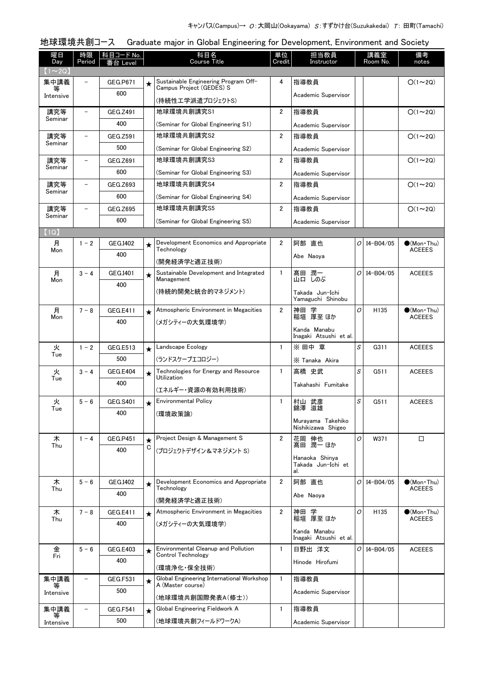### 曜日 Day 時限 Period │ 科目コード No. │ │ │ │ │ │ │ 科目名│ Course Title 番台 Level notes 単位 **Credit** 担当教員 Instructor 講義室 Room No. 備考 地球環境共創コース Graduate major in Global Engineering for Development, Environment and Society  $(1 \sim 2Q)$ ★ Sustainable Engineering Program Off-  $\begin{array}{|c|c|c|c|c|c|}\n\star & \star & \star & \star & \star & \star & \star & \star & \star & \star & \star \end{array}$ Campus Project (GEDES) S (持続性工学派遣プロジェクトS) 集中講義 等 Intensive GEG P671 600 Academic Supervisor 地球環境共創講究S1 [\(Seminar for Global Engineering S1\)](http://www.ocw.titech.ac.jp/index.php?module=General&action=T0300&JWC=201905003&lang=JA&vid=03) 講究等 Seminar GEG.7491 400 2 指導教員 ○(1~2Q) Academic Supervisor 地球環境共創講究S2 [\(Seminar for Global Engineering S2\)](http://www.ocw.titech.ac.jp/index.php?module=General&action=T0300&JWC=201905064&lang=JA&vid=03) 講究等 Seminar  $-$  GEG.Z591 500 2 指導教員 ○(1~2Q) Academic Supervisor 地球環境共創講究S3 [\(Seminar for Global Engineering S3\)](http://www.ocw.titech.ac.jp/index.php?module=General&action=T0300&JWC=201905041&lang=JA&vid=03) 講究等 Seminar GEG.Z691 600 2 指導教員 O(1~2Q) Academic Supervisor 地球環境共創講究S4 [\(Seminar for Global Engineering S4\)](http://www.ocw.titech.ac.jp/index.php?module=General&action=T0300&JWC=201905043&lang=JA&vid=03) 講究等 Seminar GEG.Z693 600 2 指導教員 ○(1~2Q) Academic Supervisor 地球環境共創講究S5 [\(Seminar for Global Engineering S5\)](http://www.ocw.titech.ac.jp/index.php?module=General&action=T0300&JWC=201905045&lang=JA&vid=03) 講究等 Seminar GEG.Z695 600 2 指導教員 ○(1~2Q) Academic Supervisor 【1Q】 [Development Economics and Appropriate](http://www.ocw.titech.ac.jp/index.php?module=General&action=T0300&JWC=201904999&lang=JA&vid=03) ★ 2 I4-B04/05 ●(Mon・Thu) **Technology** (開発経済学と適正技術) 月 **Mon**  $1 - 2$  GEG.I402 400 (Mon Thu)<br>ACEEES 阿部 直也 Abe Naoya *O* ★ [Sustainable Development and Integrated](http://www.ocw.titech.ac.jp/index.php?module=General&action=T0300&JWC=201904997&lang=JA&vid=03)  $\vert$  1 髙田 潤一  $\vert$   $\rangle$  I4-B04/05 ACEEES Management (持続的開発と統合的マネジメント) 月 Mon  $3 - 4$  GEG.I401 400 山口 しのぶ Takada Jun-Ichi Yamaguchi Shinobu *O*★ [Atmospheric Environment in Megacities](http://www.ocw.titech.ac.jp/index.php?module=General&action=T0300&JWC=201905072&lang=JA&vid=03)  $\begin{array}{|c|c|c|c|c|}\n\hline\n2 & \hline\n\frac{1}{12} & \frac{135}{12} & \frac{1}{12} & \frac{1}{12} \\
\hline\n\end{array}$   $\begin{array}{|c|c|c|c|c|}\n\hline\n\text{2} & \frac{1}{12} & \frac{1}{12} & \frac{1}{12} & \frac{1}{12} & \frac{1}{12} \\
\hline\n\frac{1}{12} & \frac{1}{12} & \frac{1}{$ (メガシティーの大気環境学) 月 Mon  $7 - 8$  GEG.E411 400 (Mon Thu)<br>ACFFFS 神田 学 稲垣 厚至 ほか Kanda Manabu Inagaki Atsushi et al. *O* ★ │Landscape Ecology │ 1 │※ 田中 章 │*S* │ G311 │ ACEEES [\(ランドスケープエコロジー\)](http://www.ocw.titech.ac.jp/index.php?module=General&action=T0300&JWC=201908331&lang=JA&vid=03) 火 **Tue**  $1 - 2$  GEG.E513 500 ※ Tanaka Akira *S*★ │[Technologies for Energy and Resource](http://www.ocw.titech.ac.jp/index.php?module=General&action=T0300&JWC=201904994&lang=JA&vid=03) │ 1 │高橋 史武 │*S*│ G511 │ ACEEES Utilization (エネルギー・資源の有効利用技術) 火 Tue  $3 - 4$  GEG.E404 400 Takahashi Fumitake *S* ★ [Environmental Policy](http://www.ocw.titech.ac.jp/index.php?module=General&action=T0300&JWC=201905000&lang=JA&vid=03) | 1 |<sub>过山 或產 |</sub> S | G511 | ACEEES (環境政策論) 火 Tue  $5 - 6$  GEG.S401 400 錦澤 滋雄 Murayama Takehiko Nishikizawa Shigeo *S*Project Design & Management S [\(プロジェクトデザイン&マネジメント S\)](http://www.ocw.titech.ac.jp/index.php?module=General&action=T0300&JWC=201904989&lang=JA&vid=03) 木 Thu  $1 - 4$  GEG. P451 400 ★ C 2 │花岡 伸也 │*O*│ W371 │ ロ 髙田 潤一 ほか Hanaoka Shinya Takada Jun-Ichi et al. *O*[Development Economics and Appropriate](http://www.ocw.titech.ac.jp/index.php?module=General&action=T0300&JWC=201904999&lang=JA&vid=03) ★ 2 I4-B04/05 ●(Mon・Thu) **Technology** (開発経済学と適正技術) 木 Thu  $5 - 6$  GEG.I402 400 ACEEES 阿部 直也 Abe Naoya *O* [Atmospheric Environment in Megacities](http://www.ocw.titech.ac.jp/index.php?module=General&action=T0300&JWC=201905072&lang=JA&vid=03) ★ 2 H135 ●(Mon・Thu) (メガシティーの大気環境学) 木 Thu  $7 - 8$  GEG.E411 400 (Mon Thu)<br>ACEEES 神田 学 稲垣 厚至 ほか Kanda Manabu Inagaki Atsushi et al. *O* ★ [Environmental Cleanup and Pollution](http://www.ocw.titech.ac.jp/index.php?module=General&action=T0300&JWC=201904993&lang=JA&vid=03) | 1 | 日野出 洋文 | *O* | I4-B04/05 | ACEEES Control Technology (環境浄化・保全技術) 金 Fri  $5 - 6$  GFG.F403 400 Hinode Hirofumi *O*★ [Global Engineering International Workshop](http://www.ocw.titech.ac.jp/index.php?module=General&action=T0300&JWC=201908186&lang=JA&vid=03) | 1 |指導教員 A (Master course) (地球環境共創国際発表A(修士)) 集中講義 等 **Intensive** - GEG.F531 500 Academic Supervisor ★ Global Engineering Fieldwork A 指導教員 [\(地球環境共創フィールドワークA\)](http://www.ocw.titech.ac.jp/index.php?module=General&action=T0300&JWC=201908178&lang=JA&vid=03) 集中講義 等 Intensive GEG.F541 500 Academic Supervisor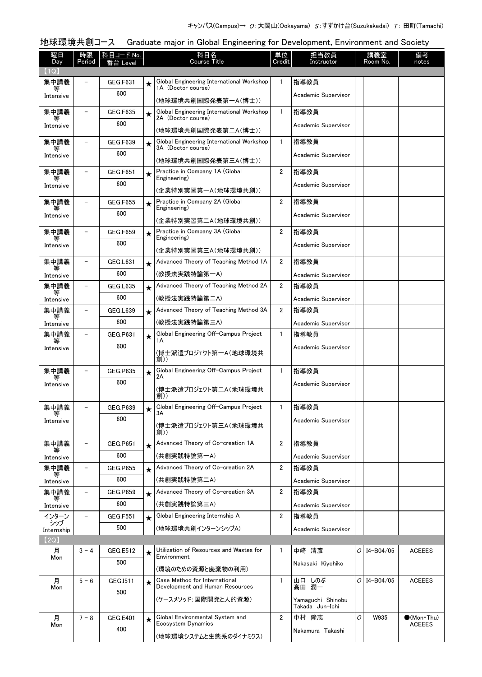# 地球環境共創コース Graduate major in Global Engineering for Development, Environment and Society

| 曜日                | 時限                       | <u>科目コード No.</u> |         | 科目名                                                              | 単位             | 担当教員                |    | 講義室           | 備考                                   |
|-------------------|--------------------------|------------------|---------|------------------------------------------------------------------|----------------|---------------------|----|---------------|--------------------------------------|
| Day<br>(1Q)       | Period                   | 番台 Level         |         | Course Title                                                     | Credit         | Instructor          |    | Room No.      | notes                                |
| 集中講義              |                          | GEG.F631         | ★       | Global Engineering International Workshop                        | $\mathbf{1}$   | 指導教員                |    |               |                                      |
| 等<br>Intensive    |                          | 600              |         | 1A (Doctor course)                                               |                | Academic Supervisor |    |               |                                      |
|                   |                          |                  |         | (地球環境共創国際発表第一A(博士))                                              |                |                     |    |               |                                      |
| 集中講義<br>等         |                          | <b>GEG.F635</b>  | $\star$ | Global Engineering International Workshop<br>2A (Doctor course)  | $\mathbf{1}$   | 指導教員                |    |               |                                      |
| Intensive         |                          | 600              |         | (地球環境共創国際発表第二A(博士))                                              |                | Academic Supervisor |    |               |                                      |
| 集中講義              |                          | GEG.F639         | $\star$ | Global Engineering International Workshop                        | $\mathbf{1}$   | 指導教員                |    |               |                                      |
| Intensive         |                          | 600              |         | 3A (Doctor course)                                               |                | Academic Supervisor |    |               |                                      |
| 集中講義              |                          | <b>GEG.F651</b>  | $\star$ | (地球環境共創国際発表第三A(博士))<br>Practice in Company 1A (Global            | 2              | 指導教員                |    |               |                                      |
| 等<br>Intensive    |                          | 600              |         | Engineering)                                                     |                | Academic Supervisor |    |               |                                      |
|                   |                          |                  |         | (企業特別実習第一A(地球環境共創))                                              |                |                     |    |               |                                      |
| 集中講義<br>等         |                          | <b>GEG.F655</b>  | $\star$ | Practice in Company 2A (Global<br>Engineering)                   | 2              | 指導教員                |    |               |                                      |
| Intensive         |                          | 600              |         | (企業特別実習第二A(地球環境共創))                                              |                | Academic Supervisor |    |               |                                      |
| 集中講義              |                          | <b>GEG.F659</b>  | $\star$ | Practice in Company 3A (Global<br>Engineering)                   | $\overline{2}$ | 指導教員                |    |               |                                      |
| 等<br>Intensive    |                          | 600              |         |                                                                  |                | Academic Supervisor |    |               |                                      |
| 集中講義              |                          | GEG.L631         |         | (企業特別実習第三A(地球環境共創))<br>Advanced Theory of Teaching Method 1A     | $\overline{2}$ | 指導教員                |    |               |                                      |
| 等                 |                          | 600              | $\star$ | (教授法実践特論第一A)                                                     |                | Academic Supervisor |    |               |                                      |
| Intensive<br>集中講義 |                          | GEG.L635         | $\star$ | Advanced Theory of Teaching Method 2A                            | $\overline{2}$ | 指導教員                |    |               |                                      |
| 等                 |                          | 600              |         | (教授法実践特論第二A)                                                     |                | Academic Supervisor |    |               |                                      |
| Intensive<br>集中講義 |                          | <b>GEG.L639</b>  | $\star$ | Advanced Theory of Teaching Method 3A                            | $\overline{2}$ | 指導教員                |    |               |                                      |
| 等<br>Intensive    |                          | 600              |         | (教授法実践特論第三A)                                                     |                | Academic Supervisor |    |               |                                      |
| 集中講義              |                          | GEG.P631         | $\star$ | Global Engineering Off-Campus Project                            | $\mathbf{1}$   | 指導教員                |    |               |                                      |
| Intensive         |                          | 600              |         | 1А                                                               |                | Academic Supervisor |    |               |                                      |
|                   |                          |                  |         | (博士派遣プロジェクト第一A(地球環境共<br>創))                                      |                |                     |    |               |                                      |
| 集中講義              |                          | <b>GEG.P635</b>  | $\star$ | Global Engineering Off-Campus Project                            | $\mathbf{1}$   | 指導教員                |    |               |                                      |
| 等<br>Intensive    |                          | 600              |         | 2Α                                                               |                | Academic Supervisor |    |               |                                      |
|                   |                          |                  |         | (博士派遣プロジェクト第二A(地球環境共<br>創))                                      |                |                     |    |               |                                      |
| 集中講義              |                          | GEG.P639         | ★       | Global Engineering Off-Campus Project<br>ЗA                      | $\mathbf{1}$   | 指導教員                |    |               |                                      |
| ₩<br>Intensive    |                          | 600              |         | (博士派遣プロジェクト第三A(地球環境共                                             |                | Academic Supervisor |    |               |                                      |
|                   |                          |                  |         | 創))                                                              |                |                     |    |               |                                      |
| 集中講義<br>等         | $\overline{\phantom{0}}$ | <b>GEG.P651</b>  | $\star$ | Advanced Theory of Co-creation 1A                                | $\overline{2}$ | 指導教員                |    |               |                                      |
| Intensive         |                          | 600              |         | (共創実践特論第一A)                                                      |                | Academic Supervisor |    |               |                                      |
| 集中講義<br>等         | $\overline{\phantom{0}}$ | <b>GEG.P655</b>  | $\star$ | Advanced Theory of Co-creation 2A                                | $\overline{2}$ | 指導教員                |    |               |                                      |
| Intensive         |                          | 600              |         | (共創実践特論第二A)                                                      |                | Academic Supervisor |    |               |                                      |
| 集中講義<br>等         | $\overline{\phantom{0}}$ | GEG.P659         | $\star$ | Advanced Theory of Co-creation 3A                                | 2              | 指導教員                |    |               |                                      |
| Intensive         |                          | 600              |         | (共創実践特論第三A)                                                      |                | Academic Supervisor |    |               |                                      |
| インターン<br>シップ      | $\overline{\phantom{0}}$ | <b>GEG.F551</b>  | $\star$ | Global Engineering Internship A                                  | $\overline{2}$ | 指導教員                |    |               |                                      |
| Internship        |                          | 500              |         | (地球環境共創インターンシップA)                                                |                | Academic Supervisor |    |               |                                      |
| (2Q)<br>月         | $3 - 4$                  | GEG.E512         |         | Utilization of Resources and Wastes for                          | $\mathbf{1}$   | 中﨑 清彦               | 0  | $I4 - B04/05$ | <b>ACEEES</b>                        |
| Mon               |                          | 500              | $\star$ | Environment                                                      |                | Nakasaki Kiyohiko   |    |               |                                      |
|                   |                          |                  |         | (環境のための資源と廃棄物の利用)                                                |                |                     |    |               |                                      |
| 月<br>Mon          | $5 - 6$                  | GEG.I511         | $\star$ | Case Method for International<br>Development and Human Resources | 1              | 山口 しのぶ<br>髙田 潤一     | 01 | I4-B04/05     | <b>ACEEES</b>                        |
|                   |                          | 500              |         | (ケースメソッド:国際開発と人的資源)                                              |                | Yamaguchi Shinobu   |    |               |                                      |
|                   |                          |                  |         |                                                                  |                | Takada Jun-Ichi     |    |               |                                      |
| 月<br>Mon          | $7 - 8$                  | GEG.E401         | ★       | Global Environmental System and<br>Ecosystem Dynamics            | $\overline{2}$ | 中村 隆志               | O  | W935          | $\bullet$ (Mon•Thu)<br><b>ACEEES</b> |
|                   |                          | 400              |         | (地球環境システムと生態系のダイナミクス)                                            |                | Nakamura Takashi    |    |               |                                      |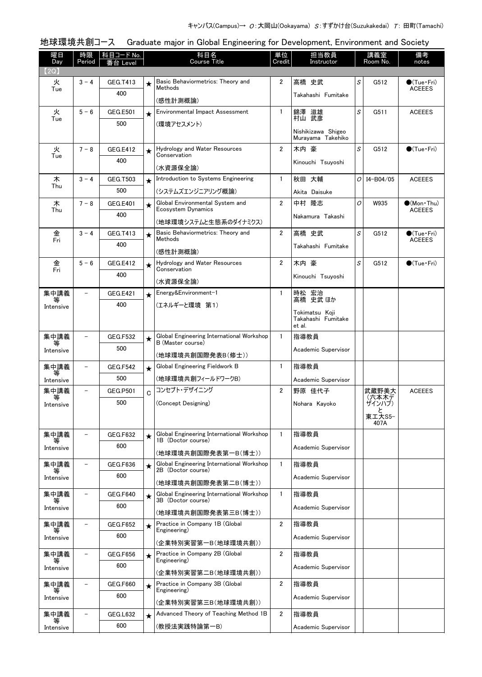| 曜日<br>Day      | 時限<br>Period             | │科目コード No.<br>番台 Level |             | 科目名<br><b>Course Title</b>                                      | 単位<br>Credit   | 担当教員<br>Instructor                      |              | 講義室<br>Room No. | 備考<br>notes                          |
|----------------|--------------------------|------------------------|-------------|-----------------------------------------------------------------|----------------|-----------------------------------------|--------------|-----------------|--------------------------------------|
| (2Q)           |                          |                        |             |                                                                 |                |                                         |              |                 |                                      |
| 火<br>Tue       | $3 - 4$                  | GEG.T413               | $\star$     | Basic Behaviormetrics: Theory and<br>Methods                    | $\overline{2}$ | 高橋 史武                                   | S            | G512            | $\bullet$ (Tue•Fri)<br><b>ACEEES</b> |
|                |                          | 400                    |             | (感性計測概論)                                                        |                | Takahashi Fumitake                      |              |                 |                                      |
| 火              | $5 - 6$                  | <b>GEG.E501</b>        | $\star$     | <b>Environmental Impact Assessment</b>                          | $\mathbf{1}$   | 錦澤 滋雄                                   | S            | G511            | <b>ACEEES</b>                        |
| Tue            |                          | 500                    |             | (環境アセスメント)                                                      |                | 村山 武彦                                   |              |                 |                                      |
|                |                          |                        |             |                                                                 |                | Nishikizawa Shigeo<br>Muravama Takehiko |              |                 |                                      |
| 火<br>Tue       | $7 - 8$                  | GEG.E412               | $\star$     | Hydrology and Water Resources<br>Conservation                   | $\overline{2}$ | 木内 豪                                    | S            | G512            | $\bigcirc$ (Tue · Fri)               |
|                |                          | 400                    |             | (水資源保全論)                                                        |                | Kinouchi Tsuyoshi                       |              |                 |                                      |
| 木              | $3 - 4$                  | GEG.T503               | $\star$     | Introduction to Systems Engineering                             | $\mathbf{1}$   | 秋田 大輔                                   | 0            | I4-B04/05       | <b>ACEEES</b>                        |
| Thu            |                          | 500                    |             | (システムズエンジニアリング概論)                                               |                | Akita Daisuke                           |              |                 |                                      |
| 木              | $7 - 8$                  | <b>GEG.E401</b>        | $\star$     | Global Environmental System and<br>Ecosystem Dynamics           | $\overline{2}$ | 中村 隆志                                   | O            | W935            | $(Mon\cdot Thu)$                     |
| Thu            |                          | 400                    |             | (地球環境システムと生態系のダイナミクス)                                           |                | Nakamura Takashi                        |              |                 | <b>ACEEES</b>                        |
| 金              | $3 - 4$                  | <b>GEG.T413</b>        | $\star$     | Basic Behaviormetrics: Theory and                               | $\overline{2}$ | 高橋 史武                                   | S            | G512            | $\bullet$ (Tue $\cdot$ Fri)          |
| Fri            |                          | 400                    |             | Methods                                                         |                | Takahashi Fumitake                      |              |                 | <b>ACEEES</b>                        |
|                | $5 - 6$                  |                        |             | (感性計測概論)<br>Hydrology and Water Resources                       | $\overline{2}$ | 木内 豪                                    | $\mathcal S$ | G512            | $\bullet$ (Tue · Fri)                |
| 金<br>Fri       |                          | <b>GEG.E412</b><br>400 | $\star$     | Conservation                                                    |                |                                         |              |                 |                                      |
|                |                          |                        |             | (水資源保全論)                                                        |                | Kinouchi Tsuyoshi                       |              |                 |                                      |
| 集中講義           |                          | <b>GEG.E421</b>        | $\star$     | Energy&Environment-1                                            | $\mathbf{1}$   | 時松 宏治<br>高橋 史武ほか                        |              |                 |                                      |
| Intensive      |                          | 400                    |             | (エネルギーと環境 第1)                                                   |                | Tokimatsu Koji                          |              |                 |                                      |
|                |                          |                        |             |                                                                 |                | Takahashi Fumitake<br>et al.            |              |                 |                                      |
| 集中講義           |                          | <b>GEG.F532</b>        | ★           | Global Engineering International Workshop<br>B (Master course)  | $\mathbf{1}$   | 指導教員                                    |              |                 |                                      |
| Intensive      |                          | 500                    |             | (地球環境共創国際発表B(修士))                                               |                | Academic Supervisor                     |              |                 |                                      |
| 集中講義           |                          | <b>GEG.F542</b>        | $\star$     | Global Engineering Fieldwork B                                  | $\mathbf{1}$   | 指導教員                                    |              |                 |                                      |
| 等<br>Intensive |                          | 500                    |             | (地球環境共創フィールドワークB)                                               |                | Academic Supervisor                     |              |                 |                                      |
| 集中講義           |                          | <b>GEG.P501</b>        | $\mathbf C$ | コンセプト・デザイニング                                                    | $\overline{2}$ | 野原 佳代子                                  |              | 武蔵野美大           | <b>ACEEES</b>                        |
| 等<br>Intensive |                          | 500                    |             | (Concept Designing)                                             |                | Nohara Kayoko                           |              | (六本木デ<br>ザインハブ) |                                      |
|                |                          |                        |             |                                                                 |                |                                         |              | 東工大S5-<br>407A  |                                      |
| 集中講義           |                          | <b>GEG.F632</b>        | $\star$     | Global Engineering International Workshop                       | $\mathbf{1}$   | 指導教員                                    |              |                 |                                      |
| 等<br>Intensive |                          | 600                    |             | 1B (Doctor course)                                              |                | Academic Supervisor                     |              |                 |                                      |
|                |                          |                        |             | (地球環境共創国際発表第一B(博士))                                             |                |                                         |              |                 |                                      |
| 集中講義<br>等      |                          | <b>GEG.F636</b><br>600 | $\star$     | Global Engineering International Workshop<br>2B (Doctor course) | $\mathbf{1}$   | 指導教員                                    |              |                 |                                      |
| Intensive      |                          |                        |             | (地球環境共創国際発表第二B(博士))                                             |                | Academic Supervisor                     |              |                 |                                      |
| 集中講義<br>等      | $\overline{\phantom{a}}$ | <b>GEG.F640</b>        | $\star$     | Global Engineering International Workshop<br>3B (Doctor course) | $\mathbf{1}$   | 指導教員                                    |              |                 |                                      |
| Intensive      |                          | 600                    |             | (地球環境共創国際発表第三B(博士))                                             |                | Academic Supervisor                     |              |                 |                                      |
| 集中講義           | $\overline{a}$           | <b>GEG.F652</b>        | $\star$     | Practice in Company 1B (Global                                  | $\overline{2}$ | 指導教員                                    |              |                 |                                      |
| 等<br>Intensive |                          | 600                    |             | Engineering)                                                    |                | Academic Supervisor                     |              |                 |                                      |
| 集中講義           |                          | <b>GEG.F656</b>        | $\star$     | (企業特別実習第一B(地球環境共創))<br>Practice in Company 2B (Global           | $\overline{2}$ | 指導教員                                    |              |                 |                                      |
| Intensive      |                          | 600                    |             | Engineering)                                                    |                | Academic Supervisor                     |              |                 |                                      |
|                |                          |                        |             | (企業特別実習第二B(地球環境共創))                                             |                |                                         |              |                 |                                      |
| 集中講義           |                          | <b>GEG.F660</b><br>600 | $\star$     | Practice in Company 3B (Global<br>Engineering)                  | 2              | 指導教員                                    |              |                 |                                      |
| Intensive      |                          |                        |             | (企業特別実習第三B(地球環境共創))                                             |                | Academic Supervisor                     |              |                 |                                      |
| 集中講義<br>等      |                          | GEG.L632               | $\star$     | Advanced Theory of Teaching Method 1B                           | $\overline{2}$ | 指導教員                                    |              |                 |                                      |
| Intensive      |                          | 600                    |             | (教授法実践特論第一B)                                                    |                | Academic Supervisor                     |              |                 |                                      |

## 地球環境共創コース Graduate major in Global Engineering for Development, Environment and Society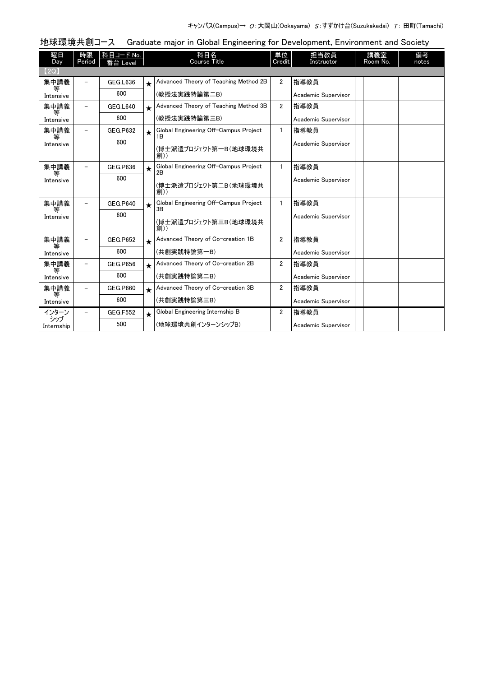| 曜日<br>Day      | 時限<br>Period | 科目コード No.<br>番台 Level |         | 科目名<br><b>Course Title</b>                  | 単位<br>Credit         | 担当教員<br>Instructor  | 講義室<br>Room No. | 備考<br>notes |
|----------------|--------------|-----------------------|---------|---------------------------------------------|----------------------|---------------------|-----------------|-------------|
| (2Q)           |              |                       |         |                                             |                      |                     |                 |             |
| 集中講義           |              | GEG.L636              | $\star$ | Advanced Theory of Teaching Method 2B       | $\mathbf{2}$         | 指導教員                |                 |             |
| 等<br>Intensive |              | 600                   |         | (教授法実践特論第二B)                                |                      | Academic Supervisor |                 |             |
| 集中講義           |              | <b>GEG.L640</b>       | $\star$ | Advanced Theory of Teaching Method 3B       | $\overline{2}$       | 指導教員                |                 |             |
| 等<br>Intensive |              | 600                   |         | (教授法実践特論第三B)                                |                      | Academic Supervisor |                 |             |
| 集中講義           |              | GEG.P632              | $\star$ | Global Engineering Off-Campus Project       | 1.                   | 指導教員                |                 |             |
| 等<br>Intensive |              | 600                   |         | 1В<br>(博士派遣プロジェクト第一B(地球環境共<br>創))           |                      | Academic Supervisor |                 |             |
| 集中講義           |              | <b>GEG.P636</b>       | $\star$ | Global Engineering Off-Campus Project       | $\mathbf{1}$         | 指導教員                |                 |             |
| 等<br>Intensive |              | 600                   |         | 2B<br>(博士派遣プロジェクト第二B(地球環境共<br>創))           |                      | Academic Supervisor |                 |             |
| 集中講義           |              | <b>GEG.P640</b>       | $\star$ | Global Engineering Off-Campus Project<br>3Β | 1.                   | 指導教員                |                 |             |
| 等<br>Intensive |              | 600                   |         | (博士派遣プロジェクト第三B(地球環境共<br>創))                 |                      | Academic Supervisor |                 |             |
| 集中講義<br>等      |              | <b>GEG.P652</b>       | $\star$ | Advanced Theory of Co-creation 1B           | $\mathbf{2}$         | 指導教員                |                 |             |
| Intensive      |              | 600                   |         | (共創実践特論第一B)                                 |                      | Academic Supervisor |                 |             |
| 集中講義<br>等      |              | <b>GEG.P656</b>       | $\star$ | Advanced Theory of Co-creation 2B           | 2                    | 指導教員                |                 |             |
| Intensive      |              | 600                   |         | (共創実践特論第二B)                                 |                      | Academic Supervisor |                 |             |
| 集中講義<br>等      |              | <b>GEG.P660</b>       | $\star$ | Advanced Theory of Co-creation 3B           | $\mathbf{2}^{\circ}$ | 指導教員                |                 |             |
| Intensive      |              | 600                   |         | (共創実践特論第三B)                                 |                      | Academic Supervisor |                 |             |
| インターン<br>シップ   |              | <b>GEG.F552</b>       | $\star$ | Global Engineering Internship B             | 2                    | 指導教員                |                 |             |
| Internship     |              | 500                   |         | (地球環境共創インターンシップB)                           |                      | Academic Supervisor |                 |             |

地球環境共創コース Graduate major in Global Engineering for Development, Environment and Society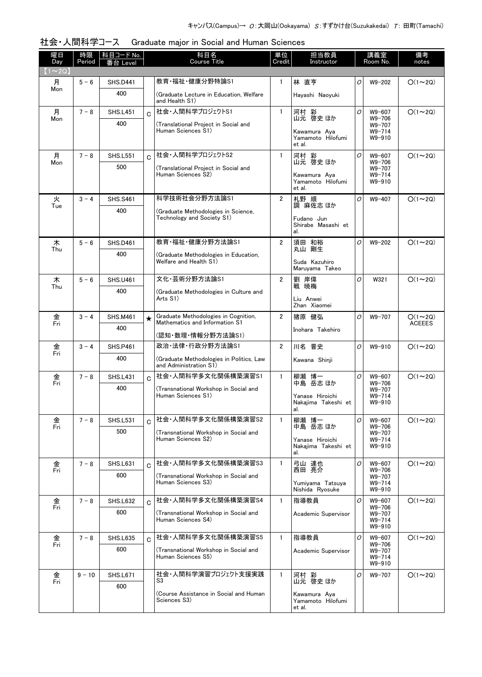| 社会・人間科学コース Graduate major in Social and Human Sciences |
|--------------------------------------------------------|
|--------------------------------------------------------|

| 曜日<br>Day    | 時限<br>Period | <u> 科目コード No.  </u><br>番台 Level |              | 科目名<br><b>Course Title</b>                                         | 単位<br>Credit   | 担当教員<br>Instructor                          | 講義室<br>Room No. |                                              | 備考<br>notes   |
|--------------|--------------|---------------------------------|--------------|--------------------------------------------------------------------|----------------|---------------------------------------------|-----------------|----------------------------------------------|---------------|
| $(1\sim 2Q)$ |              |                                 |              |                                                                    |                |                                             |                 |                                              |               |
| 月            | $5 - 6$      | <b>SHS.D441</b>                 |              | 教育·福祉·健康分野特論S1                                                     | $\mathbf{1}$   | 林 直亨                                        | O               | $W9 - 202$                                   | $O(1\sim 2Q)$ |
| Mon          |              | 400                             |              | (Graduate Lecture in Education, Welfare<br>and Health S1)          |                | Hayashi Naoyuki                             |                 |                                              |               |
| 月            | $7 - 8$      | <b>SHS.L451</b>                 | $\mathbf{C}$ | 社会·人間科学プロジェクトS1                                                    | $\mathbf{1}$   | 河村 彩<br>山元 啓史 ほか                            | $\mathcal{O}$   | W9-607                                       | $O(1\sim 2Q)$ |
| Mon          |              | 400                             |              | (Translational Project in Social and<br>Human Sciences S1)         |                | Kawamura Aya<br>Yamamoto Hilofumi<br>et al. |                 | W9-706<br>W9-707<br>$W9 - 714$<br>$W9 - 910$ |               |
| 月            | $7 - 8$      | <b>SHS.L551</b>                 | $\Omega$     | 社会・人間科学プロジェクトS2                                                    | $\mathbf{1}$   | 河村 彩<br>山元 啓史 ほか                            | 0               | W9-607                                       | $O(1\sim 2Q)$ |
| Mon          |              | 500                             |              | (Translational Project in Social and                               |                |                                             |                 | W9-706<br>$W9 - 707$                         |               |
|              |              |                                 |              | Human Sciences S2)                                                 |                | Kawamura Aya<br>Yamamoto Hilofumi<br>et al. |                 | $W9 - 714$<br>$W9 - 910$                     |               |
| 火            | $3 - 4$      | <b>SHS.S461</b>                 |              | 科学技術社会分野方法論S1                                                      | $\overline{2}$ | 札野 順                                        | O               | W9-407                                       | $O(1\sim 2Q)$ |
| Tue          |              | 400                             |              | (Graduate Methodologies in Science.                                |                | 調 麻佐志 ほか                                    |                 |                                              |               |
|              |              |                                 |              | Technology and Society S1)                                         |                | Fudano Jun<br>Shirabe Masashi et<br>al.     |                 |                                              |               |
| 木            | $5 - 6$      | <b>SHS.D461</b>                 |              | 教育·福祉·健康分野方法論S1                                                    | $\overline{2}$ | 須田 和裕<br>丸山 剛生                              | 0               | W9-202                                       | $O(1\sim 2Q)$ |
| Thu          |              | 400                             |              | (Graduate Methodologies in Education,                              |                |                                             |                 |                                              |               |
|              |              |                                 |              | Welfare and Health S1)                                             |                | Suda Kazuhiro<br>Maruyama Takeo             |                 |                                              |               |
| 木            | $5 - 6$      | <b>SHS.U461</b>                 |              | 文化·芸術分野方法論S1                                                       | $\overline{2}$ | 劉 岸偉                                        | O               | W321                                         | $O(1\sim 2Q)$ |
| Thu          |              | 400                             |              | (Graduate Methodologies in Culture and                             |                | 戦 暁梅                                        |                 |                                              |               |
|              |              |                                 |              | Arts S1)                                                           |                | Liu Anwei<br>Zhan Xiaomei                   |                 |                                              |               |
| 金            | $3 - 4$      | <b>SHS.M461</b>                 | $\star$      | Graduate Methodologies in Cognition,                               | $\overline{2}$ | 猪原 健弘                                       | O               | W9-707                                       | $O(1\sim 2Q)$ |
| Fri          |              | 400                             |              | Mathematics and Information S1                                     |                | Inohara Takehiro                            |                 |                                              | <b>ACEEES</b> |
|              |              |                                 |              | (認知・数理・情報分野方法論S1)                                                  |                |                                             |                 |                                              |               |
| 金<br>Fri     | $3 - 4$      | <b>SHS.P461</b>                 |              | 政治·法律·行政分野方法論S1                                                    | $\overline{2}$ | 川名 晋史                                       | O               | W9-910                                       | $O(1\sim 2Q)$ |
|              |              | 400                             |              | (Graduate Methodologies in Politics, Law<br>and Administration S1) |                | Kawana Shinji                               |                 |                                              |               |
| 金<br>Fri     | $7 - 8$      | <b>SHS.L431</b>                 | Ć            | 社会·人間科学多文化関係構築演習S1                                                 | $\mathbf{1}$   | 柳瀬 博一<br>中島 岳志 ほか                           | O               | W9-607<br>$W9 - 706$                         | $O(1\sim 2Q)$ |
|              |              | 400                             |              | (Transnational Workshop in Social and<br>Human Sciences S1)        |                |                                             |                 | W9-707                                       |               |
|              |              |                                 |              |                                                                    |                | Yanase Hiroichi<br>Nakaiima Takeshi et      |                 | $W9 - 714$<br>$W9 - 910$                     |               |
| 金            | $7 - 8$      | <b>SHS.L531</b>                 |              | 社会·人間科学多文化関係構築演習S2                                                 | $\mathbf{1}$   | al.<br>柳瀬 博一                                | O               | W9-607                                       | $O(1\sim 2Q)$ |
| Fri          |              | 500                             |              | (Transnational Workshop in Social and                              |                | 中島 岳志 ほか                                    |                 | W9-706<br>$W9 - 707$                         |               |
|              |              |                                 |              | Human Sciences S2)                                                 |                | Yanase Hiroichi                             |                 | $W9 - 714$                                   |               |
|              |              |                                 |              |                                                                    |                | Nakajima Takeshi et<br>al.                  |                 | $W9 - 910$                                   |               |
| 金<br>Fri     | $7 - 8$      | <b>SHS.L631</b>                 | $\Omega$     | 社会·人間科学多文化関係構築演習S3                                                 | 1              | 弓山 達也<br>西田 亮介                              | 0               | W9-607<br>$W9 - 706$                         | $O(1\sim 2Q)$ |
|              |              | 600                             |              | (Transnational Workshop in Social and<br>Human Sciences S3)        |                |                                             |                 | W9-707                                       |               |
|              |              |                                 |              |                                                                    |                | Yumiyama Tatsuya<br>Nishida Ryosuke         |                 | $W9 - 714$<br>$W9 - 910$                     |               |
| 金            | $7 - 8$      | <b>SHS.L632</b>                 | C.           | 社会·人間科学多文化関係構築演習S4                                                 | $\mathbf{1}$   | 指導教員                                        | 0               | W9-607                                       | $O(1\sim 2Q)$ |
| Fri          |              | 600                             |              | (Transnational Workshop in Social and                              |                | Academic Supervisor                         |                 | $W9 - 706$<br>W9-707                         |               |
|              |              |                                 |              | Human Sciences S4)                                                 |                |                                             |                 | $W9 - 714$<br>W9-910                         |               |
| 金            | $7 - 8$      | <b>SHS.L635</b>                 | Ć            | 社会·人間科学多文化関係構築演習S5                                                 | $\mathbf{1}$   | 指導教員                                        | 0               | W9-607                                       | $O(1\sim 2Q)$ |
| Fri          |              | 600                             |              | (Transnational Workshop in Social and                              |                | Academic Supervisor                         |                 | $W9 - 706$<br>W9-707                         |               |
|              |              |                                 |              | Human Sciences S5)                                                 |                |                                             |                 | $W9 - 714$<br>W9-910                         |               |
| 金<br>Fri     | $9 - 10$     | <b>SHS.L671</b>                 |              | 社会・人間科学演習プロジェクト支援実践                                                | $\mathbf{1}$   | 河村 彩                                        | 0               | W9-707                                       | $O(1\sim 2Q)$ |
|              |              | 600                             |              | S3                                                                 |                | 山元 啓史 ほか                                    |                 |                                              |               |
|              |              |                                 |              | (Course Assistance in Social and Human<br>Sciences S3)             |                | Kawamura Aya<br>Yamamoto Hilofumi           |                 |                                              |               |
|              |              |                                 |              |                                                                    |                | et al.                                      |                 |                                              |               |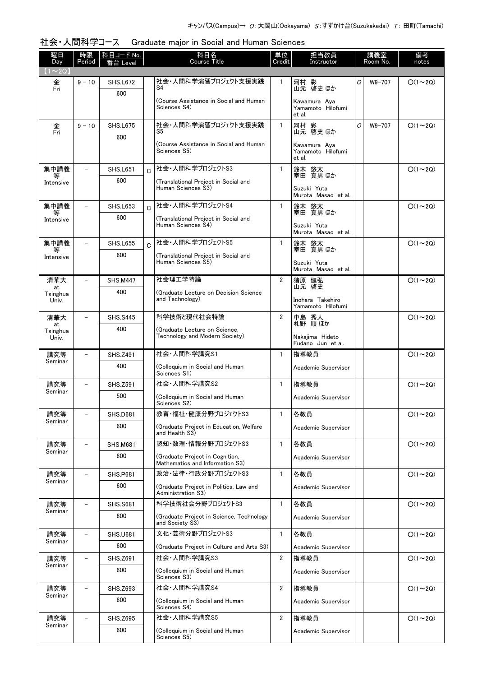|  | 社会・人間科学コース  Graduate major in Social and Human Sciences |
|--|---------------------------------------------------------|
|--|---------------------------------------------------------|

| 曜日<br>Day         | 時限<br>Period             | <u> 科目コード No.</u><br>番台 Level | 科目名<br><b>Course Title</b>                                         | 単位<br>Credit   | 担当教員<br>Instructor                          |   | 講義室<br>Room No. | 備考<br>notes   |
|-------------------|--------------------------|-------------------------------|--------------------------------------------------------------------|----------------|---------------------------------------------|---|-----------------|---------------|
| $(1\sim 2Q)$      |                          |                               |                                                                    |                |                                             |   |                 |               |
| 金<br>Fri          | $9 - 10$                 | <b>SHS.L672</b>               | 社会・人間科学演習プロジェクト支援実践<br>S4                                          | 1              | 河村 彩<br>山元 啓史 ほか                            | O | W9-707          | $O(1\sim 2Q)$ |
|                   |                          | 600                           | (Course Assistance in Social and Human)<br>Sciences S4)            |                | Kawamura Aya<br>Yamamoto Hilofumi<br>et al. |   |                 |               |
| 金<br>Fri          | $9 - 10$                 | <b>SHS.L675</b>               | 社会・人間科学演習プロジェクト支援実践<br>S5                                          | 1              | 河村 彩<br>山元 啓史 ほか                            | O | W9-707          | $O(1\sim 2Q)$ |
|                   |                          | 600                           | (Course Assistance in Social and Human<br>Sciences S5)             |                | Kawamura Aya<br>Yamamoto Hilofumi<br>et al. |   |                 |               |
| 集中講義              | $\overline{\phantom{0}}$ | <b>SHS.L651</b>               | 社会·人間科学プロジェクトS3<br>$\overline{C}$                                  | $\mathbf{1}$   | 鈴木 悠太<br>室田 真男ほか                            |   |                 | $O(1\sim 2Q)$ |
| 等<br>Intensive    |                          | 600                           | (Translational Project in Social and<br>Human Sciences S3)         |                | Suzuki Yuta<br>Murota Masao et al.          |   |                 |               |
| 集中講義              |                          | <b>SHS.L653</b>               | 社会・人間科学プロジェクトS4<br>Ć                                               | $\mathbf{1}$   | 鈴木 悠太<br>室田 真男ほか                            |   |                 | $O(1\sim 2Q)$ |
| Intensive         |                          | 600                           | (Translational Project in Social and<br>Human Sciences S4)         |                | Suzuki Yuta<br>Murota Masao et al.          |   |                 |               |
| 集中講義              | $\overline{\phantom{0}}$ | <b>SHS.L655</b>               | 社会・人間科学プロジェクトS5<br>Ć                                               | $\mathbf{1}$   | 鈴木 悠太<br>室田 真男ほか                            |   |                 | $O(1\sim 2Q)$ |
| 等<br>Intensive    |                          | 600                           | (Translational Proiect in Social and                               |                |                                             |   |                 |               |
|                   |                          |                               | Human Sciences S5)                                                 |                | Suzuki Yuta<br>Murota Masao et al.          |   |                 |               |
| 清華大<br>at         |                          | <b>SHS.M447</b>               | 社会理工学特論                                                            | $\overline{2}$ | 猪原 健弘<br>山元 啓史                              |   |                 | $O(1\sim 2Q)$ |
| Tsinghua<br>Univ. |                          | 400                           | (Graduate Lecture on Decision Science<br>and Technology)           |                | Inohara Takehiro<br>Yamamoto Hilofumi       |   |                 |               |
| 清華大<br>at         |                          | <b>SHS.S445</b>               | 科学技術と現代社会特論                                                        | $\overline{2}$ | 中島 秀人<br>札野 順ほか                             |   |                 | $O(1\sim 2Q)$ |
| Tsinghua<br>Univ. |                          | 400                           | (Graduate Lecture on Science,<br>Technology and Modern Society)    |                | Nakajima Hideto<br>Fudano Jun et al.        |   |                 |               |
| 講究等               |                          | <b>SHS.Z491</b>               | 社会·人間科学講究S1                                                        | $\mathbf{1}$   | 指導教員                                        |   |                 | $O(1\sim 2Q)$ |
| Seminar           |                          | 400                           | (Colloquium in Social and Human<br>Sciences S1)                    |                | Academic Supervisor                         |   |                 |               |
| 講究等<br>Seminar    |                          | <b>SHS.Z591</b>               | 社会·人間科学講究S2                                                        | $\mathbf{1}$   | 指導教員                                        |   |                 | $O(1\sim 2Q)$ |
|                   |                          | 500                           | (Colloguium in Social and Human<br>Sciences S2)                    |                | Academic Supervisor                         |   |                 |               |
| 講究等<br>Seminar    |                          | <b>SHS.D681</b>               | 教育·福祉·健康分野プロジェクトS3                                                 | 1              | 各教員                                         |   |                 | $O(1\sim 2Q)$ |
|                   |                          | 600                           | (Graduate Project in Education, Welfare<br>and Health S3)          |                | Academic Supervisor                         |   |                 |               |
| 講究等<br>Seminar    |                          | <b>SHS.M681</b>               | 認知・数理・情報分野プロジェクトS3                                                 | $\mathbf{1}$   | 各教員                                         |   |                 | $O(1\sim 2Q)$ |
|                   |                          | 600                           | (Graduate Project in Cognition,<br>Mathematics and Information S3) |                | Academic Supervisor                         |   |                 |               |
| 講究等<br>Seminar    | $\overline{\phantom{0}}$ | <b>SHS.P681</b>               | 政治・法律・行政分野プロジェクトS3                                                 | $\mathbf{1}$   | 各教員                                         |   |                 | $O(1\sim 2Q)$ |
|                   |                          | 600                           | (Graduate Project in Politics, Law and<br>Administration S3)       |                | Academic Supervisor                         |   |                 |               |
| 講究等               |                          | <b>SHS.S681</b>               | 科学技術社会分野プロジェクトS3                                                   | $\mathbf{1}$   | 各教員                                         |   |                 | $O(1\sim 2Q)$ |
| Seminar           |                          | 600                           | (Graduate Project in Science, Technology<br>and Society S3)        |                | Academic Supervisor                         |   |                 |               |
| 講究等<br>Seminar    |                          | <b>SHS.U681</b>               | 文化・芸術分野プロジェクトS3                                                    | $\mathbf{1}$   | 各教員                                         |   |                 | $O(1\sim 2Q)$ |
|                   |                          | 600                           | (Graduate Project in Culture and Arts S3)                          |                | Academic Supervisor                         |   |                 |               |
| 講究等<br>Seminar    |                          | <b>SHS.Z691</b>               | 社会·人間科学講究S3                                                        | $\overline{2}$ | 指導教員                                        |   |                 | $O(1\sim 2Q)$ |
|                   |                          | 600                           | (Colloquium in Social and Human<br>Sciences S3)                    |                | Academic Supervisor                         |   |                 |               |
| 講究等<br>Seminar    |                          | <b>SHS.Z693</b>               | 社会·人間科学講究S4                                                        | 2              | 指導教員                                        |   |                 | $O(1\sim 2Q)$ |
|                   |                          | 600                           | (Colloquium in Social and Human<br>Sciences S4)                    |                | Academic Supervisor                         |   |                 |               |
| 講究等<br>Seminar    | $\overline{\phantom{0}}$ | <b>SHS.Z695</b>               | 社会·人間科学講究S5                                                        | $\overline{2}$ | 指導教員                                        |   |                 | $O(1\sim 2Q)$ |
|                   |                          | 600                           | (Colloquium in Social and Human<br>Sciences S5)                    |                | Academic Supervisor                         |   |                 |               |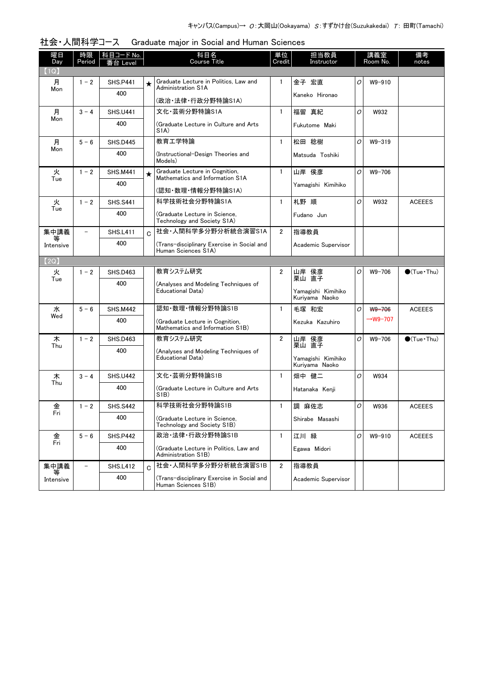| 曜日<br>Day      | 時限<br>Period      | 科目コード No.<br>eve |         | 科目名<br><b>Course Title</b>                                         | 単位<br>Credit   | 担当教員<br>Instructor                   |   | 講義室<br>Room No.      | 備考<br>notes            |
|----------------|-------------------|------------------|---------|--------------------------------------------------------------------|----------------|--------------------------------------|---|----------------------|------------------------|
| (1Q)           |                   |                  |         |                                                                    |                |                                      |   |                      |                        |
| 月              | $1 - 2$           | <b>SHS.P441</b>  | $\star$ | Graduate Lecture in Politics, Law and<br><b>Administration S1A</b> | $\mathbf{1}$   | 金子 宏直                                | 0 | $W9 - 910$           |                        |
| Mon            |                   | 400              |         |                                                                    |                | Kaneko Hironao                       |   |                      |                        |
|                |                   |                  |         | (政治·法律·行政分野特論S1A)                                                  |                |                                      |   |                      |                        |
| 月<br>Mon       | $3 - 4$           | <b>SHS.U441</b>  |         | 文化·芸術分野特論S1A                                                       | $\mathbf{1}$   | 福留 真紀                                | 0 | W932                 |                        |
|                |                   | 400              |         | (Graduate Lecture in Culture and Arts)<br>S <sub>1</sub> A)        |                | Fukutome Maki                        |   |                      |                        |
| 月<br>Mon       | $5-6$             | <b>SHS.D445</b>  |         | 教育工学特論                                                             | $\mathbf{1}$   | 松田 稔樹                                | O | $W9 - 319$           |                        |
|                |                   | 400              |         | (Instructional-Design Theories and<br>Models)                      |                | Matsuda Toshiki                      |   |                      |                        |
| 火              | $1 - 2$           | <b>SHS.M441</b>  | $\star$ | Graduate Lecture in Cognition,<br>Mathematics and Information S1A  | $\mathbf{1}$   | 山岸 侯彦                                | 0 | $W9 - 706$           |                        |
| Tue            |                   | 400              |         | (認知・数理・情報分野特論S1A)                                                  |                | Yamagishi Kimihiko                   |   |                      |                        |
| 火              | $1 - 2$           | <b>SHS.S441</b>  |         | 科学技術社会分野特論S1A                                                      | $\mathbf{1}$   | 札野 順                                 | O | W932                 | <b>ACEEES</b>          |
| Tue            |                   | 400              |         | (Graduate Lecture in Science,                                      |                | Fudano Jun                           |   |                      |                        |
|                |                   |                  |         | Technology and Society S1A)                                        |                |                                      |   |                      |                        |
| 集中講義           |                   | <b>SHS.L411</b>  | C       | 社会·人間科学多分野分析統合演習S1A                                                | $\overline{2}$ | 指導教員                                 |   |                      |                        |
| Intensive      |                   | 400              |         | (Trans-disciplinary Exercise in Social and<br>Human Sciences S1A)  |                | Academic Supervisor                  |   |                      |                        |
| 【2Q】           |                   |                  |         |                                                                    |                |                                      |   |                      |                        |
| 火              | $1 - 2$           | <b>SHS.D463</b>  |         | 教育システム研究                                                           | 2              | 山岸 侯彦<br>栗山 直子                       | 0 | $W9 - 706$           | $\bigcirc$ (Tue · Thu) |
| Tue            |                   | 400              |         | (Analyses and Modeling Techniques of                               |                |                                      |   |                      |                        |
|                |                   |                  |         | Educational Data)                                                  |                | Yamagishi Kimihiko<br>Kuriyama Naoko |   |                      |                        |
| 水              | $5 - 6$           | <b>SHS.M442</b>  |         | 認知·数理·情報分野特論S1B                                                    | $\mathbf{1}$   | 毛塚 和宏                                | O | W9-706               | <b>ACEEES</b>          |
| Wed            |                   | 400              |         | (Graduate Lecture in Cognition,                                    |                | Kezuka Kazuhiro                      |   | $\rightarrow$ W9-707 |                        |
|                |                   |                  |         | Mathematics and Information S1B)                                   |                |                                      |   |                      |                        |
| 木<br>Thu       | $1 - 2$           | <b>SHS.D463</b>  |         | 教育システム研究                                                           | $\overline{2}$ | 山岸 侯彦<br>栗山 直子                       | O | $W9 - 706$           | $\bigcirc$ (Tue · Thu) |
|                |                   | 400              |         | (Analyses and Modeling Techniques of<br>Educational Data)          |                |                                      |   |                      |                        |
|                |                   |                  |         |                                                                    |                | Yamagishi Kimihiko<br>Kuriyama Naoko |   |                      |                        |
| 木              | $3 - 4$           | <b>SHS.U442</b>  |         | 文化·芸術分野特論S1B                                                       | $\mathbf{1}$   | 畑中 健二                                | O | W934                 |                        |
| Thu            |                   | 400              |         | (Graduate Lecture in Culture and Arts)                             |                | Hatanaka Kenji                       |   |                      |                        |
|                |                   |                  |         | S1B)                                                               |                |                                      |   |                      |                        |
| 金<br>Fri       | $1 - 2$           | <b>SHS.S442</b>  |         | 科学技術社会分野特論S1B                                                      | $\mathbf{1}$   | 調 麻佐志                                | 0 | W936                 | <b>ACEEES</b>          |
|                |                   | 400              |         | (Graduate Lecture in Science,<br>Technology and Society S1B)       |                | Shirabe Masashi                      |   |                      |                        |
| 金              | $5 - 6$           | <b>SHS.P442</b>  |         | 政治·法律·行政分野特論S1B                                                    | 1              | 江川 緑                                 | 0 | W9-910               | <b>ACEEES</b>          |
| Fri            |                   | 400              |         | (Graduate Lecture in Politics, Law and<br>Administration S1B)      |                | Egawa Midori                         |   |                      |                        |
| 集中講義           | $\qquad \qquad -$ | <b>SHS.L412</b>  | C       | 社会·人間科学多分野分析統合演習S1B                                                | $\overline{2}$ | 指導教員                                 |   |                      |                        |
| 等<br>Intensive |                   | 400              |         | (Trans-disciplinary Exercise in Social and<br>Human Sciences S1B)  |                | Academic Supervisor                  |   |                      |                        |

| 社会・人間科学コース Graduate major in Social and Human Sciences |  |  |  |  |  |  |
|--------------------------------------------------------|--|--|--|--|--|--|
|--------------------------------------------------------|--|--|--|--|--|--|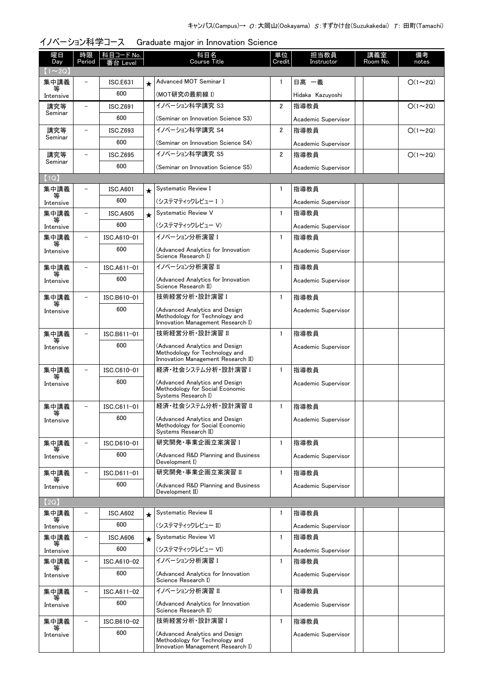| 曜日<br>Day      | 時限<br>Period             | 科目コード No.<br>番台 Level |            | 科目名<br><b>Course Title</b>                                                                             | 単位<br>Credit            | 担当教員<br>Instructor  | 講義室<br>Room No. | 備考<br>notes   |
|----------------|--------------------------|-----------------------|------------|--------------------------------------------------------------------------------------------------------|-------------------------|---------------------|-----------------|---------------|
| $(1\sim 2Q)$   |                          |                       |            |                                                                                                        |                         |                     |                 |               |
| 集中講義<br>等      |                          | <b>ISC.E631</b>       | $\star$    | Advanced MOT Seminar I                                                                                 | $\mathbf{1}$            | 日髙 一義               |                 | $O(1\sim 2Q)$ |
| Intensive      |                          | 600                   |            | (MOT研究の最前線 I)                                                                                          |                         | Hidaka Kazuyoshi    |                 |               |
| 講究等<br>Seminar | $\overline{\phantom{0}}$ | <b>ISC.Z691</b>       |            | イノベーション科学講究 S3                                                                                         | $\overline{2}$          | 指導教員                |                 | $O(1\sim 2Q)$ |
|                |                          | 600                   |            | (Seminar on Innovation Science S3)                                                                     |                         | Academic Supervisor |                 |               |
| 講究等<br>Seminar | $\overline{\phantom{0}}$ | ISC.Z693              |            | イノベーション科学講究 S4                                                                                         | 2                       | 指導教員                |                 | $O(1\sim 2Q)$ |
|                |                          | 600                   |            | (Seminar on Innovation Science S4)                                                                     |                         | Academic Supervisor |                 |               |
| 講究等<br>Seminar | $\equiv$                 | <b>ISC.Z695</b>       |            | イノベーション科学講究 S5                                                                                         | $\overline{\mathbf{2}}$ | 指導教員                |                 | $O(1\sim 2Q)$ |
|                |                          | 600                   |            | (Seminar on Innovation Science S5)                                                                     |                         | Academic Supervisor |                 |               |
| (1Q)           |                          |                       |            |                                                                                                        |                         |                     |                 |               |
| 集中講義<br>等      |                          | <b>ISC.A601</b>       | $\star$    | Systematic Review I                                                                                    | 1                       | 指導教員                |                 |               |
| Intensive      |                          | 600                   |            | (システマティックレビュー I )                                                                                      |                         | Academic Supervisor |                 |               |
| 集中講義<br>等      | $\overline{\phantom{0}}$ | <b>ISC.A605</b>       | $\bigstar$ | Systematic Review V                                                                                    | $\mathbf{1}$            | 指導教員                |                 |               |
| Intensive      |                          | 600                   |            | (システマティックレビュー V)                                                                                       |                         | Academic Supervisor |                 |               |
| 集中講義           |                          | ISC.A610-01           |            | イノベーション分析演習 I                                                                                          | $\mathbf{1}$            | 指導教員                |                 |               |
| Intensive      |                          | 600                   |            | (Advanced Analytics for Innovation<br>Science Research I)                                              |                         | Academic Supervisor |                 |               |
| 集中講義           |                          | ISC.A611-01           |            | イノベーション分析演習 Ⅱ                                                                                          | $\mathbf{1}$            | 指導教員                |                 |               |
| Intensive      |                          | 600                   |            | (Advanced Analytics for Innovation<br>Science Research II)                                             |                         | Academic Supervisor |                 |               |
| 集中講義           |                          | ISC.B610-01           |            | 技術経営分析·設計演習 I                                                                                          | $\mathbf{1}$            | 指導教員                |                 |               |
| Intensive      |                          | 600                   |            | (Advanced Analytics and Design<br>Methodology for Technology and<br>Innovation Management Research I)  |                         | Academic Supervisor |                 |               |
| 集中講義           | $\overline{\phantom{0}}$ | ISC.B611-01           |            | 技術経営分析·設計演習 II                                                                                         | $\mathbf{1}$            | 指導教員                |                 |               |
| Intensive      |                          | 600                   |            | (Advanced Analytics and Design<br>Methodology for Technology and<br>Innovation Management Research II) |                         | Academic Supervisor |                 |               |
| 集中講義           |                          | ISC.C610-01           |            | 経済・社会システム分析・設計演習 I                                                                                     | $\mathbf{1}$            | 指導教員                |                 |               |
| Intensive      |                          | 600                   |            | (Advanced Analytics and Design<br>Methodology for Social Economic<br>Systems Research I)               |                         | Academic Supervisor |                 |               |
| 集中講義           |                          | ISC.C611-01           |            | 経済·社会システム分析·設計演習 II                                                                                    | 1                       | 指導教員                |                 |               |
| Intensive      |                          | 600                   |            | (Advanced Analytics and Design<br>Methodology for Social Economic<br>Systems Research II)              |                         | Academic Supervisor |                 |               |
| 集中講義           |                          | ISC.D610-01           |            | 研究開発 事業企画立案演習 I                                                                                        | $\mathbf{1}$            | 指導教員                |                 |               |
| 等<br>Intensive |                          | 600                   |            | (Advanced R&D Planning and Business<br>Development I)                                                  |                         | Academic Supervisor |                 |               |
| 集中講義           | $\overline{\phantom{0}}$ | ISC.D611-01           |            | 研究開発·事業企画立案演習 II                                                                                       | $\mathbf{1}$            | 指導教員                |                 |               |
| 等<br>Intensive |                          | 600                   |            | (Advanced R&D Planning and Business<br>Development II)                                                 |                         | Academic Supervisor |                 |               |
| (2Q)           |                          |                       |            |                                                                                                        |                         |                     |                 |               |
| 集中講義           |                          | <b>ISC.A602</b>       | $\star$    | Systematic Review II                                                                                   | 1                       | 指導教員                |                 |               |
| Intensive      |                          | 600                   |            | (システマティックレビュー II)                                                                                      |                         | Academic Supervisor |                 |               |
| 集中講義           |                          | <b>ISC.A606</b>       | $\star$    | <b>Systematic Review VI</b>                                                                            | $\mathbf{1}$            | 指導教員                |                 |               |
| Intensive      |                          | 600                   |            | (システマティックレビュー VI)                                                                                      |                         | Academic Supervisor |                 |               |
| 集中講義           |                          | ISC.A610-02           |            | イノベーション分析演習 I                                                                                          | $\mathbf{1}$            | 指導教員                |                 |               |
| Intensive      |                          | 600                   |            | (Advanced Analytics for Innovation<br>Science Research I)                                              |                         | Academic Supervisor |                 |               |
| 集中講義           |                          | ISC.A611-02           |            | イノベーション分析演習 II                                                                                         | 1                       | 指導教員                |                 |               |
| Intensive      |                          | 600                   |            | (Advanced Analytics for Innovation<br>Science Research II)                                             |                         | Academic Supervisor |                 |               |
| 集中講義           | $\overline{\phantom{a}}$ | ISC.B610-02           |            | 技術経営分析·設計演習 I                                                                                          | $\mathbf{1}$            | 指導教員                |                 |               |
| 等<br>Intensive |                          | 600                   |            | (Advanced Analytics and Design<br>Methodology for Technology and<br>Innovation Management Research I)  |                         | Academic Supervisor |                 |               |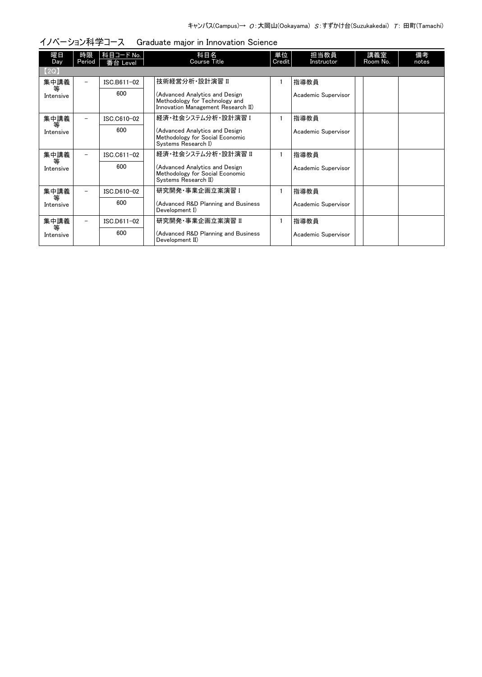| 曜日             | 時限                       | 科目コード No.   | 科目名                                                                                                    | 単位     | 担当教員                | 講義室      | 備考    |
|----------------|--------------------------|-------------|--------------------------------------------------------------------------------------------------------|--------|---------------------|----------|-------|
| Day            | Period                   | 番台 Level    | <b>Course Title</b>                                                                                    | Credit | Instructor          | Room No. | notes |
| (2Q)           |                          |             |                                                                                                        |        |                     |          |       |
| 集中講義           | Ξ.                       | ISC.B611-02 | 技術経営分析·設計演習 II                                                                                         |        | 指導教員                |          |       |
| 等<br>Intensive |                          | 600         | (Advanced Analytics and Design<br>Methodology for Technology and<br>Innovation Management Research II) |        | Academic Supervisor |          |       |
| 集中講義           |                          | ISC.C610-02 | 経済・社会システム分析・設計演習 I                                                                                     |        | 指導教員                |          |       |
| 等<br>Intensive |                          | 600         | (Advanced Analytics and Design<br>Methodology for Social Economic<br>Systems Research I)               |        | Academic Supervisor |          |       |
| 集中講義           |                          | ISC.C611-02 | 経済・社会システム分析・設計演習 Ⅱ                                                                                     |        | 指導教員                |          |       |
| 等<br>Intensive |                          | 600         | (Advanced Analytics and Design<br>Methodology for Social Economic<br>Systems Research II)              |        | Academic Supervisor |          |       |
| 集中講義           |                          | ISC.D610-02 | 研究開発·事業企画立案演習 I                                                                                        |        | 指導教員                |          |       |
| 等<br>Intensive |                          | 600         | (Advanced R&D Planning and Business<br>Development I)                                                  |        | Academic Supervisor |          |       |
| 集中講義           | $\overline{\phantom{0}}$ | ISC.D611-02 | 研究開発 事業企画立案演習 Ⅱ                                                                                        |        | 指導教員                |          |       |
| 等<br>Intensive |                          | 600         | (Advanced R&D Planning and Business<br>Development II)                                                 |        | Academic Supervisor |          |       |

## イノベーション科学コース Graduate major in Innovation Science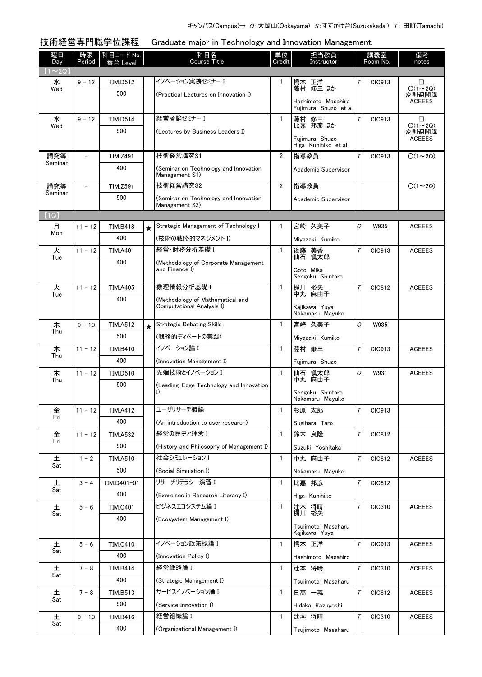技術経営専門職学位課程 Graduate major in Technology and Innovation Management

| 曜日                   | 時限                       | 科目コード No.              |         | 科目名                                                           | 単位             | 担当教員                                        |        | 講義室      | 備考                     |
|----------------------|--------------------------|------------------------|---------|---------------------------------------------------------------|----------------|---------------------------------------------|--------|----------|------------------------|
| Day<br>$(1 \sim 2Q)$ | Period                   | Level                  |         | <b>Course Title</b>                                           | Credit         | Instructor                                  |        | Room No. | notes                  |
| 水                    | $9 - 12$                 | <b>TIM.D512</b>        |         | イノベーション実践セミナー I                                               | $\mathbf{1}$   | 橋本 正洋                                       | Τ      | CIC913   | □                      |
| Wed                  |                          | 500                    |         | (Practical Lectures on Innovation I)                          |                | 藤村 修三 ほか                                    |        |          | $O(1\sim 2Q)$<br>変則週開講 |
|                      |                          |                        |         |                                                               |                | Hashimoto Masahiro<br>Fuijmura Shuzo et al. |        |          | <b>ACEEES</b>          |
| 水                    | $9 - 12$                 | <b>TIM.D514</b>        |         | 経営者論セミナー I                                                    | $\mathbf{1}$   | 藤村 修三                                       | $\tau$ | CIC913   | □                      |
| Wed                  |                          | 500                    |         |                                                               |                | 比嘉 邦彦 ほか                                    |        |          | $O(1\sim 2Q)$          |
|                      |                          |                        |         | (Lectures by Business Leaders I)                              |                | Fuiimura Shuzo                              |        |          | 変則週開講<br><b>ACEEES</b> |
|                      |                          |                        |         |                                                               |                | Higa Kunihiko et al.                        |        |          |                        |
| 講究等<br>Seminar       | $\overline{\phantom{0}}$ | <b>TIM.Z491</b>        |         | 技術経営講究S1                                                      | $\overline{2}$ | 指導教員                                        | $\tau$ | CIC913   | $O(1\sim 2Q)$          |
|                      |                          | 400                    |         | (Seminar on Technology and Innovation<br>Management S1)       |                | Academic Supervisor                         |        |          |                        |
| 講究等                  | $\overline{\phantom{0}}$ | <b>TIM.Z591</b>        |         | 技術経営講究S2                                                      | 2              | 指導教員                                        |        |          | $O(1\sim 2Q)$          |
| Seminar              |                          | 500                    |         | (Seminar on Technology and Innovation                         |                | Academic Supervisor                         |        |          |                        |
|                      |                          |                        |         | Management S2)                                                |                |                                             |        |          |                        |
| (1Q)<br>月            | $11 - 12$                |                        |         | Strategic Management of Technology I                          | 1              |                                             | 0      | W935     |                        |
| Mon                  |                          | <b>TIM.B418</b><br>400 | $\star$ |                                                               |                | 宮崎 久美子                                      |        |          | <b>ACEEES</b>          |
|                      |                          |                        |         | (技術の戦略的マネジメント I)                                              |                | Miyazaki Kumiko                             |        |          |                        |
| 火<br>Tue             | $11 - 12$                | <b>TIM.A401</b>        |         | 経営·財務分析基礎 I                                                   | $\mathbf{1}$   | 美香<br>後藤<br>仙石 慎太郎                          | $\tau$ | CIC913   | <b>ACEEES</b>          |
|                      |                          | 400                    |         | (Methodology of Corporate Management<br>and Finance I)        |                | Goto Mika                                   |        |          |                        |
|                      |                          |                        |         |                                                               |                | Sengoku Shintaro                            |        |          |                        |
| 火<br>Tue             | $11 - 12$                | <b>TIM.A405</b>        |         | 数理情報分析基礎 I                                                    | $\mathbf{1}$   | 梶川 裕矢<br>中丸 麻由子                             | $\tau$ | CIC812   | <b>ACEEES</b>          |
|                      |                          | 400                    |         | (Methodology of Mathematical and<br>Computational Analysis I) |                | Kajikawa Yuya                               |        |          |                        |
|                      |                          |                        |         |                                                               |                | Nakamaru Mayuko                             |        |          |                        |
| 木                    | $9 - 10$                 | <b>TIM.A512</b>        | $\star$ | <b>Strategic Debating Skills</b>                              | $\mathbf{1}$   | 宮崎 久美子                                      | 0      | W935     |                        |
| Thu                  |                          | 500                    |         | (戦略的ディベートの実践)                                                 |                | Miyazaki Kumiko                             |        |          |                        |
| 木                    | $11 - 12$                | <b>TIM.B410</b>        |         | イノベーション論 I                                                    | $\mathbf{1}$   | 藤村 修三                                       | $\tau$ | CIC913   | <b>ACEEES</b>          |
| Thu                  |                          | 400                    |         | (Innovation Management I)                                     |                | Fuiimura Shuzo                              |        |          |                        |
| 木                    | $11 - 12$                | <b>TIM.D510</b>        |         | 先端技術とイノベーション I                                                | $\mathbf{1}$   | 仙石 愼太郎                                      | 0      | W931     | <b>ACEEES</b>          |
| Thu                  |                          | 500                    |         | (Leading-Edge Technology and Innovation                       |                | 中丸 麻由子                                      |        |          |                        |
|                      |                          |                        |         | I)                                                            |                | Sengoku Shintaro<br>Nakamaru Mayuko         |        |          |                        |
| 金                    | $11 - 12$                | <b>TIM.A412</b>        |         | ユーザリサーチ概論                                                     | $\tilde{1}$    | 杉原 太郎                                       | $\tau$ | CIC913   |                        |
| Fri                  |                          | 400                    |         | (An introduction to user research)                            |                | Sugihara Taro                               |        |          |                        |
| 金                    | $11 - 12$                | <b>TIM.A532</b>        |         | 経営の歴史と理念 I                                                    | $\mathbf{1}$   | 鈴木 良降                                       | T      | CIC812   |                        |
| Fri                  |                          | 500                    |         | (History and Philosophy of Management I)                      |                | Suzuki Yoshitaka                            |        |          |                        |
| 土                    | $1 - 2$                  | TIM.A510               |         | 社会シミュレーション I                                                  | $\mathbf{1}$   | 中丸 麻由子                                      | T      | CIC812   | <b>ACEEES</b>          |
| Sat                  |                          | 500                    |         | (Social Simulation I)                                         |                | Nakamaru Mayuko                             |        |          |                        |
| 土                    | $3 - 4$                  | TIM.D401-01            |         | リサーチリテラシー演習 I                                                 | $\mathbf{1}$   | 比嘉 邦彦                                       | Т      | CIC812   |                        |
| Sat                  |                          | 400                    |         | (Exercises in Research Literacy I)                            |                | Higa Kunihiko                               |        |          |                        |
| 土                    | $5 - 6$                  | <b>TIM.C401</b>        |         | ビジネスエコシステム論 I                                                 | $\mathbf{1}$   | 辻本 将晴                                       | Τ      | CIC310   | <b>ACEEES</b>          |
| Sat                  |                          | 400                    |         | (Ecosystem Management I)                                      |                | 梶川 裕矢                                       |        |          |                        |
|                      |                          |                        |         |                                                               |                | Tsujimoto Masaharu                          |        |          |                        |
|                      |                          |                        |         | イノベーション政策概論 I                                                 |                | Kajikawa Yuya                               |        |          |                        |
| 土<br>Sat             | $5 - 6$                  | <b>TIM.C410</b>        |         |                                                               | $\mathbf{1}$   | 橋本 正洋                                       | $\tau$ | CIC913   | <b>ACEEES</b>          |
|                      |                          | 400                    |         | (Innovation Policy I)                                         |                | Hashimoto Masahiro                          |        |          |                        |
| 土<br>Sat             | $7 - 8$                  | TIM.B414               |         | 経営戦略論 I                                                       | $\mathbf{1}$   | 辻本 将晴                                       | $\tau$ | CIC310   | <b>ACEEES</b>          |
|                      |                          | 400                    |         | (Strategic Management I)                                      |                | Tsujimoto Masaharu                          |        |          |                        |
| 土<br>Sat             | $7 - 8$                  | TIM.B513               |         | サービスイノベーション論 I                                                | $\mathbf{1}$   | 日髙 一義                                       | $\tau$ | CIC812   | <b>ACEEES</b>          |
|                      |                          | 500                    |         | (Service Innovation I)                                        |                | Hidaka Kazuyoshi                            |        |          |                        |
| 土<br>Sat             | $9 - 10$                 | TIM.B416               |         | 経営組織論I                                                        | 1              | 辻本 将晴                                       | $\tau$ | CIC310   | <b>ACEEES</b>          |
|                      |                          | 400                    |         | (Organizational Management I)                                 |                | Tsujimoto Masaharu                          |        |          |                        |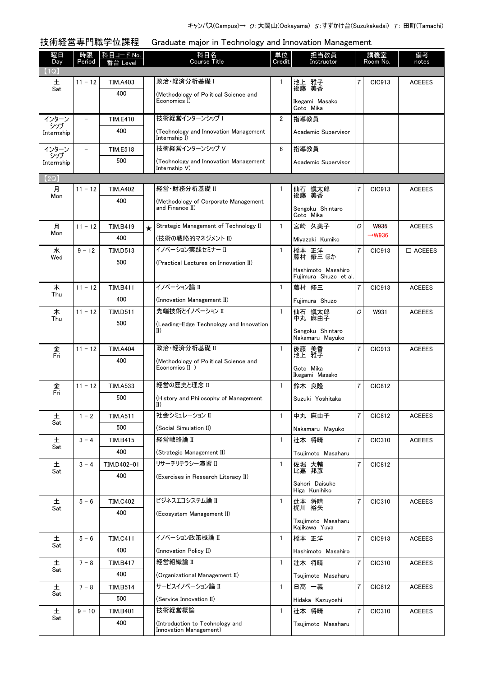技術経営専門職学位課程 Graduate major in Technology and Innovation Management

| 曜日<br>Day    | 時限<br>Period             | <u>科目コード No.</u><br>≸台 Level |         | 科目名<br>Course Title                                       | 単位<br>Credit   | 担当教員<br>Instructor                          |        | 講義室<br>Room No.    | 備考<br>notes      |
|--------------|--------------------------|------------------------------|---------|-----------------------------------------------------------|----------------|---------------------------------------------|--------|--------------------|------------------|
| 【1Q】<br>土    | $11 - 12$                | <b>TIM.A403</b>              |         | 政治·経済分析基礎 I                                               | 1              | 池上 雅子                                       | Τ      | CIC913             | <b>ACEEES</b>    |
| Sat          |                          | 400                          |         | (Methodology of Political Science and                     |                | 後藤 美香                                       |        |                    |                  |
|              |                          |                              |         | Economics I)                                              |                | Ikegami Masako<br>Goto Mika                 |        |                    |                  |
| インターン<br>シップ | $\overline{\phantom{0}}$ | <b>TIM.E410</b>              |         | 技術経営インターンシップ I                                            | $\overline{2}$ | 指導教員                                        |        |                    |                  |
| Internship   |                          | 400                          |         | (Technology and Innovation Management<br>Internship I)    |                | Academic Supervisor                         |        |                    |                  |
| インターン<br>シップ |                          | <b>TIM.E518</b>              |         | 技術経営インターンシップ V                                            | 6              | 指導教員                                        |        |                    |                  |
| Internship   |                          | 500                          |         | (Technology and Innovation Management<br>Internship V)    |                | Academic Supervisor                         |        |                    |                  |
| [2Q]         |                          |                              |         |                                                           |                |                                             |        |                    |                  |
| 月            | $11 - 12$                | <b>TIM.A402</b>              |         | 経営・財務分析基礎 II                                              | $\mathbf{1}$   | 仙石 愼太郎                                      | Τ      | CIC913             | <b>ACEEES</b>    |
| Mon          |                          | 400                          |         | (Methodology of Corporate Management                      |                | 後藤 美香                                       |        |                    |                  |
|              |                          |                              |         | and Finance II)                                           |                | Sengoku Shintaro<br>Goto Mika               |        |                    |                  |
| 月<br>Mon     | $11 - 12$                | <b>TIM.B419</b>              | $\star$ | Strategic Management of Technology II                     | $\mathbf{1}$   | 宮崎 久美子                                      | 0      | <b>W935</b>        | <b>ACEEES</b>    |
|              |                          | 400                          |         | (技術の戦略的マネジメント II)                                         |                | Miyazaki Kumiko                             |        | $\rightarrow$ W936 |                  |
| 水<br>Wed     | $9 - 12$                 | <b>TIM.D513</b>              |         | イノベーション実践セミナー II                                          | $\mathbf{1}$   | 橋本 正洋<br>藤村 修三ほか                            | $\tau$ | CIC913             | $\square$ ACEEES |
|              |                          | 500                          |         | (Practical Lectures on Innovation II)                     |                | Hashimoto Masahiro<br>Fuiimura Shuzo et al. |        |                    |                  |
| 木            | $11 - 12$                | <b>TIM.B411</b>              |         | イノベーション論 II                                               | $\mathbf{1}$   | 藤村 修三                                       | $\tau$ | CIC913             | <b>ACEEES</b>    |
| Thu          |                          | 400                          |         | (Innovation Management II)                                |                | Fujimura Shuzo                              |        |                    |                  |
| 木            | $11 - 12$                | <b>TIM.D511</b>              |         | 先端技術とイノベーション II                                           | $\mathbf{1}$   | 仙石 慎太郎                                      | 0      | W931               | <b>ACEEES</b>    |
| Thu          |                          | 500                          |         | (Leading-Edge Technology and Innovation                   |                | 中丸 麻由子                                      |        |                    |                  |
|              |                          |                              |         | $_{\rm II}$                                               |                | Sengoku Shintaro<br>Nakamaru Mayuko         |        |                    |                  |
| 金<br>Fri     | $11 - 12$                | <b>TIM.A404</b>              |         | 政治·経済分析基礎 II                                              | $\mathbf{1}$   | 後藤 美香                                       | $\tau$ | CIC913             | <b>ACEEES</b>    |
|              |                          | 400                          |         | (Methodology of Political Science and                     |                | 池上 雅子                                       |        |                    |                  |
|              |                          |                              |         | Economics II )                                            |                | Goto Mika<br>Ikegami Masako                 |        |                    |                  |
| 金<br>Fri     | $11 - 12$                | <b>TIM.A533</b>              |         | 経営の歴史と理念 II                                               | $\mathbf{1}$   | 鈴木 良隆                                       | Τ      | CIC812             |                  |
|              |                          | 500                          |         | (History and Philosophy of Management<br>$_{\rm II)}$     |                | Suzuki Yoshitaka                            |        |                    |                  |
| 土            | $1 - 2$                  | <b>TIM.A511</b>              |         | 社会シミュレーション II                                             | $\mathbf{1}$   | 中丸 麻由子                                      | $\tau$ | CIC812             | <b>ACEEES</b>    |
| Sat          |                          | 500                          |         | (Social Simulation II)                                    |                | Nakamaru Mayuko                             |        |                    |                  |
| 土            | $3 - 4$                  | <b>TIM.B415</b>              |         | 経営戦略論 II                                                  | $\mathbf{1}$   | 辻本 将晴                                       | $\tau$ | CIC310             | <b>ACEEES</b>    |
| Sat          |                          | 400                          |         | (Strategic Management II)                                 |                | Tsujimoto Masaharu                          |        |                    |                  |
| 土            | $3 - 4$                  | TIM.D402-01                  |         | リサーチリテラシー演習 II                                            | $\mathbf{1}$   | 佐堀 大輔                                       | $\tau$ | CIC812             |                  |
| Sat          |                          | 400                          |         | (Exercises in Research Literacy II)                       |                | 比嘉 邦彦                                       |        |                    |                  |
|              |                          |                              |         |                                                           |                | Sahori Daisuke<br>Higa Kunihiko             |        |                    |                  |
| $\pm$        | $5 - 6$                  | <b>TIM.C402</b>              |         | ビジネスエコシステム論 II                                            | $\mathbf{1}$   | 辻本 将晴                                       | $\tau$ | CIC310             | <b>ACEEES</b>    |
| Sat          |                          | 400                          |         | (Ecosystem Management II)                                 |                | 梶川 裕矢                                       |        |                    |                  |
|              |                          |                              |         |                                                           |                | Tsujimoto Masaharu<br>Kajikawa Yuya         |        |                    |                  |
| 土            | $5 - 6$                  | <b>TIM.C411</b>              |         | イノベーション政策概論 II                                            | $\mathbf{1}$   | 橋本 正洋                                       | T      | CIC913             | <b>ACEEES</b>    |
| Sat          |                          | 400                          |         | (Innovation Policy II)                                    |                | Hashimoto Masahiro                          |        |                    |                  |
| 土<br>Sat     | $7 - 8$                  | <b>TIM.B417</b>              |         | 経営組織論 II                                                  | 1              | 辻本 将晴                                       | $\tau$ | CIC310             | <b>ACEEES</b>    |
|              |                          | 400                          |         | (Organizational Management II)                            |                | Tsujimoto Masaharu                          |        |                    |                  |
| 土<br>Sat     | $7 - 8$                  | TIM.B514                     |         | サービスイノベーション論 II                                           | $\mathbf{1}$   | 日髙 一義                                       | $\tau$ | CIC812             | <b>ACEEES</b>    |
|              |                          | 500                          |         | (Service Innovation II)                                   |                | Hidaka Kazuyoshi                            |        |                    |                  |
| 土<br>Sat     | $9 - 10$                 | TIM.B401                     |         | 技術経営概論                                                    | $\mathbf{1}$   | 辻本 将晴                                       | $\tau$ | CIC310             | <b>ACEEES</b>    |
|              |                          | 400                          |         | (Introduction to Technology and<br>Innovation Management) |                | Tsujimoto Masaharu                          |        |                    |                  |